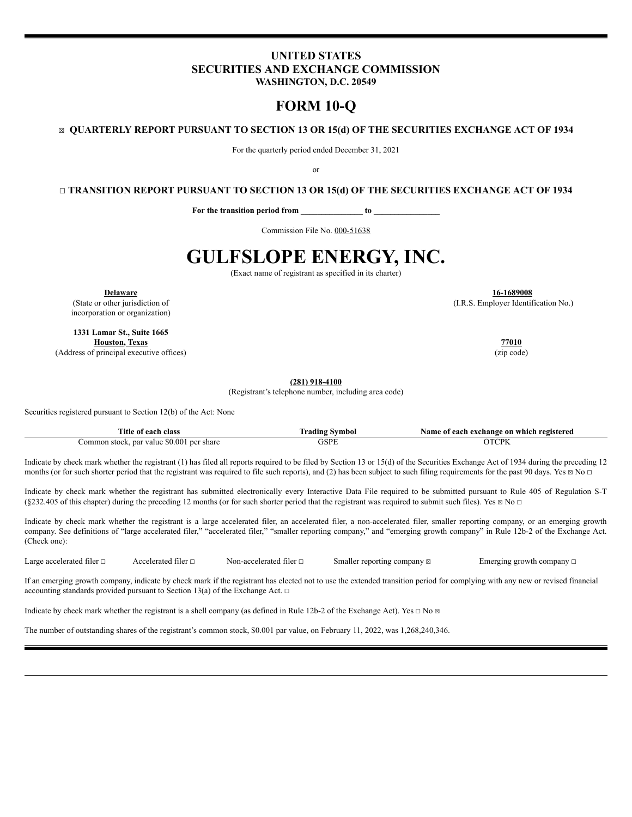# **UNITED STATES SECURITIES AND EXCHANGE COMMISSION WASHINGTON, D.C. 20549**

# **FORM 10-Q**

# ☒ **QUARTERLY REPORT PURSUANT TO SECTION 13 OR 15(d) OF THE SECURITIES EXCHANGE ACT OF 1934**

For the quarterly period ended December 31, 2021

or

# ☐ **TRANSITION REPORT PURSUANT TO SECTION 13 OR 15(d) OF THE SECURITIES EXCHANGE ACT OF 1934**

**For the transition period from \_\_\_\_\_\_\_\_\_\_\_\_\_\_\_ to \_\_\_\_\_\_\_\_\_\_\_\_\_\_\_\_**

Commission File No. 000-51638

# **GULFSLOPE ENERGY, INC.**

(Exact name of registrant as specified in its charter)

(State or other jurisdiction of incorporation or organization)

**1331 Lamar St., Suite 1665 Houston, Texas**

(Address of principal executive offices)

**Delaware 16-1689008** (I.R.S. Employer Identification No.)

> **77010** (zip code)

**(281) 918-4100**

(Registrant's telephone number, including area code)

Securities registered pursuant to Section 12(b) of the Act: None

| Fitle<br>class<br>: of each                                  | Svmbol<br>rading | Name<br>registered ا<br>e of each exchange on which- |
|--------------------------------------------------------------|------------------|------------------------------------------------------|
| $\cdot$ \$0.001 per share<br>. par value St<br>Common stock. | GSPE             | <b>OTCPK</b>                                         |

Indicate by check mark whether the registrant (1) has filed all reports required to be filed by Section 13 or 15(d) of the Securities Exchange Act of 1934 during the preceding 12 months (or for such shorter period that the registrant was required to file such reports), and (2) has been subject to such filing requirements for the past 90 days. Yes  $\boxtimes$  No  $\Box$ 

Indicate by check mark whether the registrant has submitted electronically every Interactive Data File required to be submitted pursuant to Rule 405 of Regulation S-T  $(\$232.405$  of this chapter) during the preceding 12 months (or for such shorter period that the registrant was required to submit such files). Yes ⊠ No □

Indicate by check mark whether the registrant is a large accelerated filer, an accelerated filer, a non-accelerated filer, smaller reporting company, or an emerging growth company. See definitions of "large accelerated filer," "accelerated filer," "smaller reporting company," and "emerging growth company" in Rule 12b-2 of the Exchange Act. (Check one):

Large accelerated filer □ Accelerated filer □ Non-accelerated filer □ Smaller reporting company ⊠ Emerging growth company □

If an emerging growth company, indicate by check mark if the registrant has elected not to use the extended transition period for complying with any new or revised financial accounting standards provided pursuant to Section 13(a) of the Exchange Act.  $□$ 

Indicate by check mark whether the registrant is a shell company (as defined in Rule 12b-2 of the Exchange Act). Yes  $\Box$  No  $\Box$ 

The number of outstanding shares of the registrant's common stock, \$0.001 par value, on February 11, 2022, was 1,268,240,346.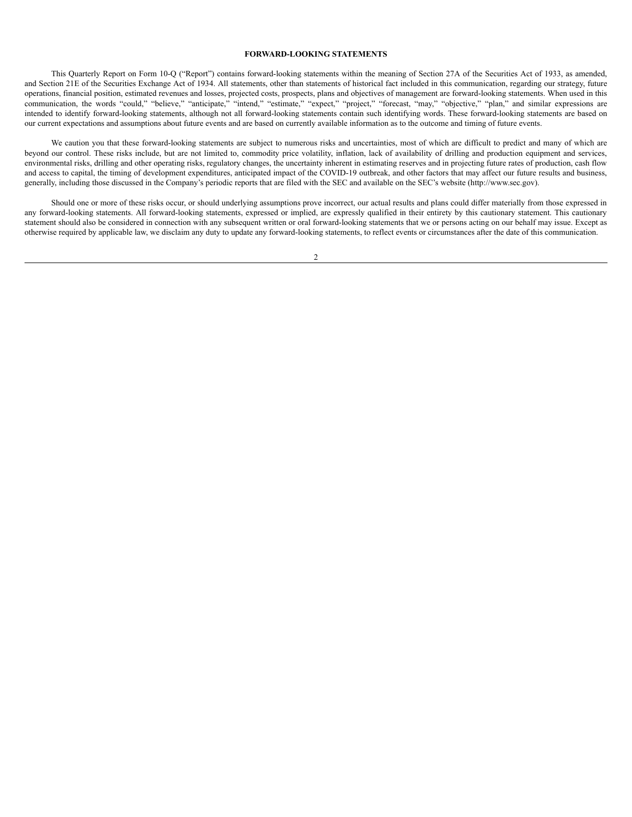# **FORWARD-LOOKING STATEMENTS**

This Quarterly Report on Form 10-Q ("Report") contains forward-looking statements within the meaning of Section 27A of the Securities Act of 1933, as amended, and Section 21E of the Securities Exchange Act of 1934. All statements, other than statements of historical fact included in this communication, regarding our strategy, future operations, financial position, estimated revenues and losses, projected costs, prospects, plans and objectives of management are forward-looking statements. When used in this communication, the words "could," "believe," "anticipate," "intend," "estimate," "expect," "project," "forecast, "may," "objective," "plan," and similar expressions are intended to identify forward-looking statements, although not all forward-looking statements contain such identifying words. These forward-looking statements are based on our current expectations and assumptions about future events and are based on currently available information as to the outcome and timing of future events.

We caution you that these forward-looking statements are subject to numerous risks and uncertainties, most of which are difficult to predict and many of which are beyond our control. These risks include, but are not limited to, commodity price volatility, inflation, lack of availability of drilling and production equipment and services, environmental risks, drilling and other operating risks, regulatory changes, the uncertainty inherent in estimating reserves and in projecting future rates of production, cash flow and access to capital, the timing of development expenditures, anticipated impact of the COVID-19 outbreak, and other factors that may affect our future results and business, generally, including those discussed in the Company's periodic reports that are filed with the SEC and available on the SEC's website (http://www.sec.gov).

Should one or more of these risks occur, or should underlying assumptions prove incorrect, our actual results and plans could differ materially from those expressed in any forward-looking statements. All forward-looking statements, expressed or implied, are expressly qualified in their entirety by this cautionary statement. This cautionary statement should also be considered in connection with any subsequent written or oral forward-looking statements that we or persons acting on our behalf may issue. Except as otherwise required by applicable law, we disclaim any duty to update any forward-looking statements, to reflect events or circumstances after the date of this communication.

 $\mathfrak{D}$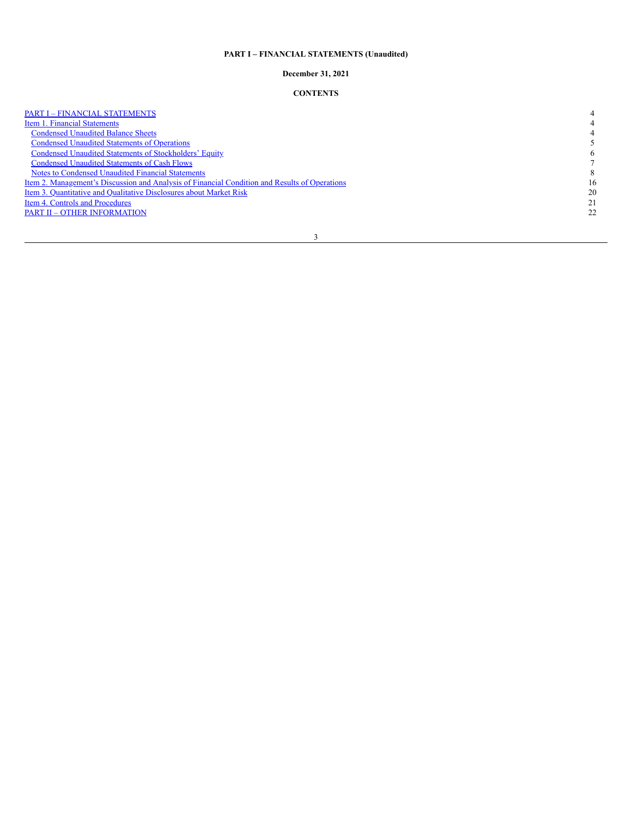# **PART I – FINANCIAL STATEMENTS (Unaudited)**

# **December 31, 2021**

# **CONTENTS**

| <b>PART I - FINANCIAL STATEMENTS</b>                                                                 |    |
|------------------------------------------------------------------------------------------------------|----|
| Item 1. Financial Statements                                                                         | 4  |
| <b>Condensed Unaudited Balance Sheets</b>                                                            |    |
| <b>Condensed Unaudited Statements of Operations</b>                                                  |    |
| <b>Condensed Unaudited Statements of Stockholders' Equity</b>                                        | 6  |
| <b>Condensed Unaudited Statements of Cash Flows</b>                                                  |    |
| <b>Notes to Condensed Unaudited Financial Statements</b>                                             |    |
| <u>Item 2. Management's Discussion and Analysis of Financial Condition and Results of Operations</u> | 16 |
| Item 3. Quantitative and Qualitative Disclosures about Market Risk                                   | 20 |
| Item 4. Controls and Procedures                                                                      | 21 |
| <b>PART II - OTHER INFORMATION</b>                                                                   | 22 |
|                                                                                                      |    |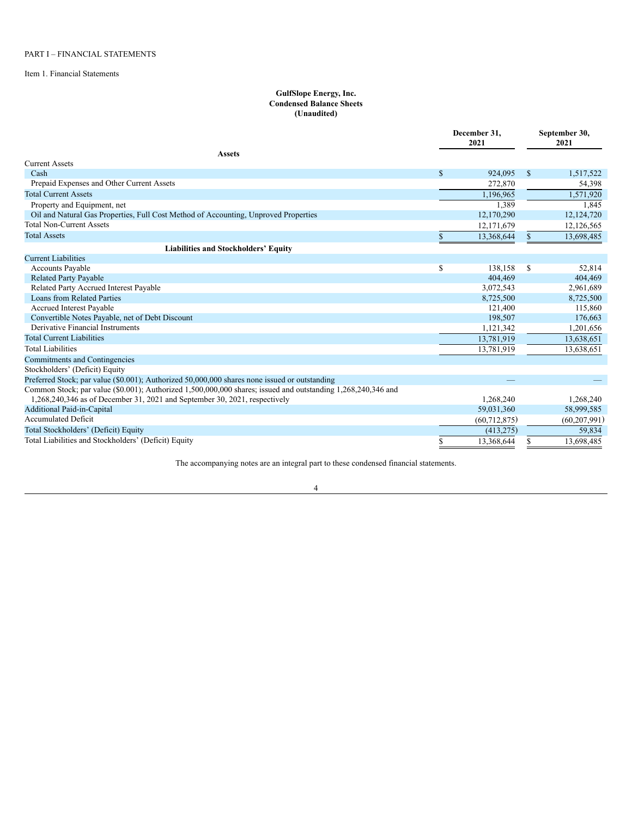# <span id="page-3-2"></span><span id="page-3-1"></span><span id="page-3-0"></span>Item 1. Financial Statements

#### **GulfSlope Energy, Inc. Condensed Balance Sheets (Unaudited)**

|                                                                                                              |             | December 31,<br>2021 |               | September 30,<br>2021 |
|--------------------------------------------------------------------------------------------------------------|-------------|----------------------|---------------|-----------------------|
| <b>Assets</b>                                                                                                |             |                      |               |                       |
| <b>Current Assets</b>                                                                                        |             |                      |               |                       |
| Cash                                                                                                         | $\mathbf S$ | 924,095              | $\mathbb{S}$  | 1,517,522             |
| Prepaid Expenses and Other Current Assets                                                                    |             | 272,870              |               | 54,398                |
| <b>Total Current Assets</b>                                                                                  |             | 1.196.965            |               | 1.571.920             |
| Property and Equipment, net                                                                                  |             | 1,389                |               | 1,845                 |
| Oil and Natural Gas Properties, Full Cost Method of Accounting, Unproved Properties                          |             | 12,170,290           |               | 12, 124, 720          |
| <b>Total Non-Current Assets</b>                                                                              |             | 12,171,679           |               | 12,126,565            |
| <b>Total Assets</b>                                                                                          | \$          | 13,368,644           | <sup>\$</sup> | 13,698,485            |
| <b>Liabilities and Stockholders' Equity</b>                                                                  |             |                      |               |                       |
| <b>Current Liabilities</b>                                                                                   |             |                      |               |                       |
| <b>Accounts Payable</b>                                                                                      | \$          | 138,158              | -S            | 52,814                |
| <b>Related Party Payable</b>                                                                                 |             | 404,469              |               | 404,469               |
| Related Party Accrued Interest Payable                                                                       |             | 3,072,543            |               | 2,961,689             |
| Loans from Related Parties                                                                                   |             | 8,725,500            |               | 8,725,500             |
| Accrued Interest Payable                                                                                     |             | 121,400              |               | 115,860               |
| Convertible Notes Payable, net of Debt Discount                                                              |             | 198,507              |               | 176,663               |
| Derivative Financial Instruments                                                                             |             | 1,121,342            |               | 1,201,656             |
| <b>Total Current Liabilities</b>                                                                             |             | 13,781,919           |               | 13,638,651            |
| <b>Total Liabilities</b>                                                                                     |             | 13,781,919           |               | 13,638,651            |
| Commitments and Contingencies                                                                                |             |                      |               |                       |
| Stockholders' (Deficit) Equity                                                                               |             |                      |               |                       |
| Preferred Stock; par value (\$0.001); Authorized 50,000,000 shares none issued or outstanding                |             |                      |               |                       |
| Common Stock; par value (\$0.001); Authorized 1,500,000,000 shares; issued and outstanding 1,268,240,346 and |             |                      |               |                       |
| 1,268,240,346 as of December 31, 2021 and September 30, 2021, respectively                                   |             | 1.268.240            |               | 1,268,240             |
| <b>Additional Paid-in-Capital</b>                                                                            |             | 59,031,360           |               | 58,999,585            |
| <b>Accumulated Deficit</b>                                                                                   |             | (60, 712, 875)       |               | (60, 207, 991)        |
| Total Stockholders' (Deficit) Equity                                                                         |             | (413, 275)           |               | 59,834                |
| Total Liabilities and Stockholders' (Deficit) Equity                                                         | \$          | 13,368,644           |               | 13,698,485            |

The accompanying notes are an integral part to these condensed financial statements.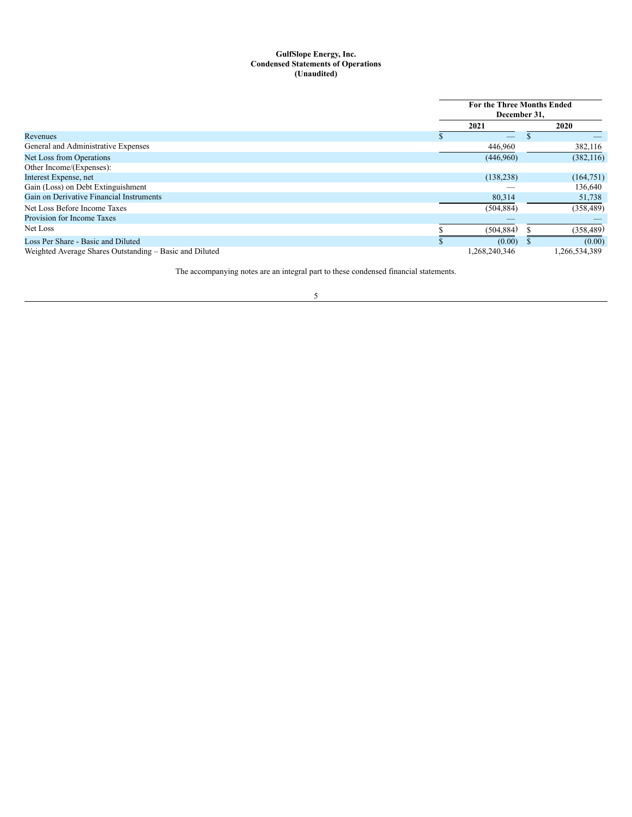# **GulfSlope Energy, Inc. Condensed Statements of Operations (Unaudited)**

<span id="page-4-0"></span>

|                                                         |              | For the Three Months Ended<br>December 31. |               |  |  |  |  |
|---------------------------------------------------------|--------------|--------------------------------------------|---------------|--|--|--|--|
|                                                         | 2021         |                                            | 2020          |  |  |  |  |
| Revenues                                                |              |                                            |               |  |  |  |  |
| General and Administrative Expenses                     | 446,960      |                                            | 382,116       |  |  |  |  |
| Net Loss from Operations                                | (446,960)    |                                            | (382, 116)    |  |  |  |  |
| Other Income/(Expenses):                                |              |                                            |               |  |  |  |  |
| Interest Expense, net                                   | (138, 238)   |                                            | (164, 751)    |  |  |  |  |
| Gain (Loss) on Debt Extinguishment                      |              |                                            | 136,640       |  |  |  |  |
| Gain on Derivative Financial Instruments                | 80,314       |                                            | 51,738        |  |  |  |  |
| Net Loss Before Income Taxes                            | (504, 884)   |                                            | (358, 489)    |  |  |  |  |
| Provision for Income Taxes                              |              |                                            |               |  |  |  |  |
| Net Loss                                                | (504, 884)   |                                            | (358, 489)    |  |  |  |  |
| Loss Per Share - Basic and Diluted                      | (0.00)       |                                            | (0.00)        |  |  |  |  |
| Weighted Average Shares Outstanding – Basic and Diluted | .268.240.346 |                                            | 1,266,534,389 |  |  |  |  |

The accompanying notes are an integral part to these condensed financial statements.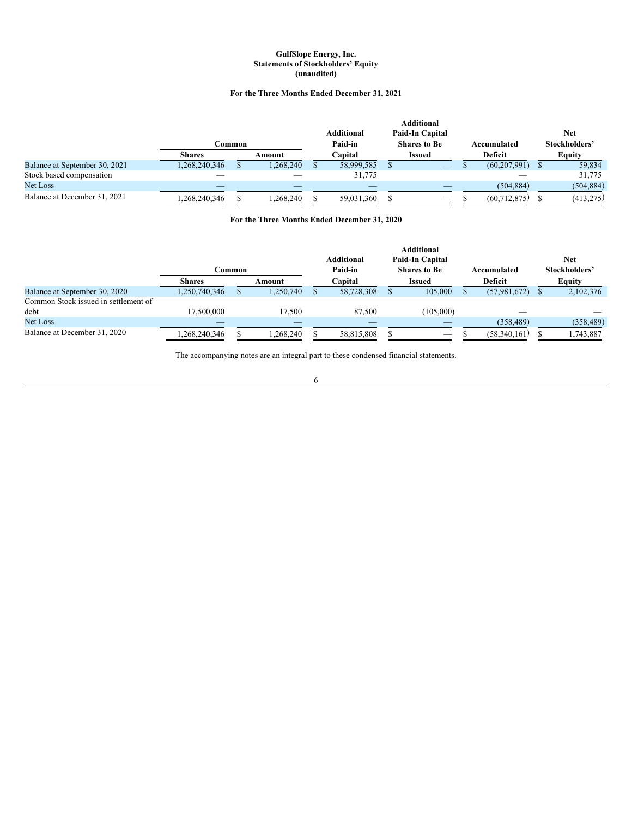#### **GulfSlope Energy, Inc. Statements of Stockholders' Equity (unaudited)**

# **For the Three Months Ended December 31, 2021**

<span id="page-5-0"></span>

|                               |               | Common |          | <b>Additional</b><br>Paid-in | <b>Additional</b><br>Paid-In Capital<br><b>Shares to Be</b> | Accumulated    | <b>Net</b><br>Stockholders' |
|-------------------------------|---------------|--------|----------|------------------------------|-------------------------------------------------------------|----------------|-----------------------------|
|                               | <b>Shares</b> |        | Amount   | Capital                      | <b>Issued</b>                                               | <b>Deficit</b> | Equity                      |
| Balance at September 30, 2021 | 1,268,240,346 |        | .268,240 | 58,999,585                   | $\qquad \qquad \longleftarrow$                              | (60, 207, 991) | 59,834                      |
| Stock based compensation      |               |        |          | 31,775                       |                                                             |                | 31,775                      |
| Net Loss                      |               |        |          |                              |                                                             | (504, 884)     | (504, 884)                  |
| Balance at December 31, 2021  | ,268,240,346  |        | .268,240 | 59,031,360                   | __                                                          | (60, 712, 875) | (413, 275)                  |

**For the Three Months Ended December 31, 2020**

|                                      |               | Common |           | Additional<br>Paid-in | <b>Additional</b><br>Paid-In Capital<br><b>Shares to Be</b> | Accumulated    | <b>Net</b><br>Stockholders' |
|--------------------------------------|---------------|--------|-----------|-----------------------|-------------------------------------------------------------|----------------|-----------------------------|
|                                      | <b>Shares</b> |        | Amount    | Capital               | <b>Issued</b>                                               | Deficit        | Equity                      |
| Balance at September 30, 2020        | 1.250.740.346 |        | 1,250,740 | 58,728,308            | 105,000                                                     | (57, 981, 672) | 2,102,376                   |
| Common Stock issued in settlement of |               |        |           |                       |                                                             |                |                             |
| debt                                 | 17.500.000    |        | 17.500    | 87.500                | (105,000)                                                   |                |                             |
| Net Loss                             |               |        |           |                       |                                                             | (358, 489)     | (358, 489)                  |
| Balance at December 31, 2020         | 1,268,240,346 |        | .268.240  | 58.815.808            |                                                             | (58,340,161)   | 1,743,887                   |

The accompanying notes are an integral part to these condensed financial statements.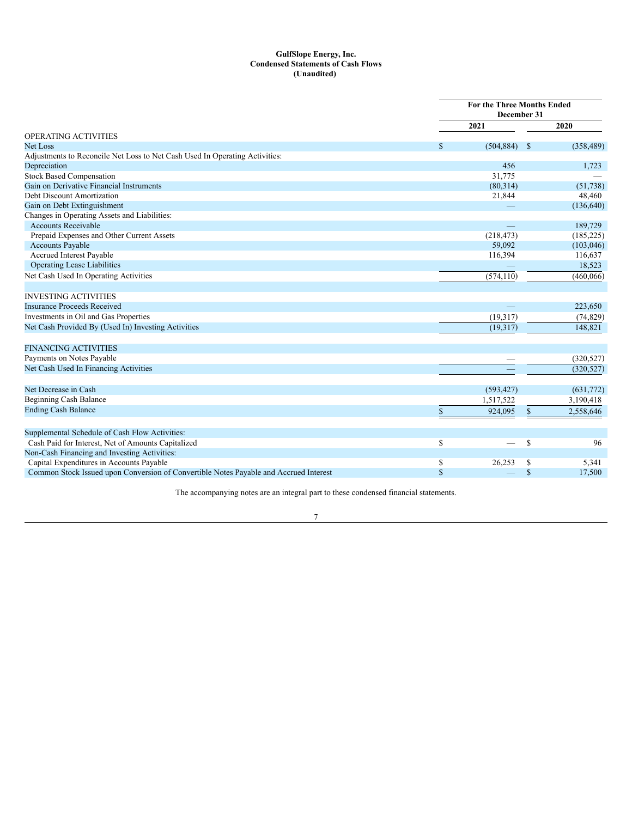# **GulfSlope Energy, Inc. Condensed Statements of Cash Flows (Unaudited)**

<span id="page-6-0"></span>

|                                                                                       | <b>For the Three Months Ended</b><br>December 31 |            |               |            |  |
|---------------------------------------------------------------------------------------|--------------------------------------------------|------------|---------------|------------|--|
|                                                                                       |                                                  | 2021       |               | 2020       |  |
| <b>OPERATING ACTIVITIES</b>                                                           |                                                  |            |               |            |  |
| Net Loss                                                                              | \$                                               | (504, 884) | -S            | (358, 489) |  |
| Adjustments to Reconcile Net Loss to Net Cash Used In Operating Activities:           |                                                  |            |               |            |  |
| Depreciation                                                                          |                                                  | 456        |               | 1,723      |  |
| <b>Stock Based Compensation</b>                                                       |                                                  | 31,775     |               |            |  |
| Gain on Derivative Financial Instruments                                              |                                                  | (80, 314)  |               | (51, 738)  |  |
| Debt Discount Amortization                                                            |                                                  | 21,844     |               | 48,460     |  |
| Gain on Debt Extinguishment                                                           |                                                  |            |               | (136, 640) |  |
| Changes in Operating Assets and Liabilities:                                          |                                                  |            |               |            |  |
| <b>Accounts Receivable</b>                                                            |                                                  |            |               | 189,729    |  |
| Prepaid Expenses and Other Current Assets                                             |                                                  | (218, 473) |               | (185, 225) |  |
| Accounts Payable                                                                      |                                                  | 59,092     |               | (103, 046) |  |
| Accrued Interest Payable                                                              |                                                  | 116,394    |               | 116,637    |  |
| Operating Lease Liabilities                                                           |                                                  |            |               | 18,523     |  |
| Net Cash Used In Operating Activities                                                 |                                                  | (574, 110) |               | (460, 066) |  |
| <b>INVESTING ACTIVITIES</b>                                                           |                                                  |            |               |            |  |
| <b>Insurance Proceeds Received</b>                                                    |                                                  |            |               | 223,650    |  |
| Investments in Oil and Gas Properties                                                 |                                                  | (19,317)   |               | (74, 829)  |  |
| Net Cash Provided By (Used In) Investing Activities                                   |                                                  | (19,317)   |               | 148,821    |  |
| <b>FINANCING ACTIVITIES</b>                                                           |                                                  |            |               |            |  |
| Payments on Notes Payable                                                             |                                                  |            |               | (320, 527) |  |
| Net Cash Used In Financing Activities                                                 |                                                  |            |               | (320, 527) |  |
| Net Decrease in Cash                                                                  |                                                  | (593, 427) |               | (631,772)  |  |
| Beginning Cash Balance                                                                |                                                  | 1,517,522  |               | 3,190,418  |  |
| <b>Ending Cash Balance</b>                                                            | $\$$                                             | 924,095    | \$            | 2,558,646  |  |
| Supplemental Schedule of Cash Flow Activities:                                        |                                                  |            |               |            |  |
| Cash Paid for Interest, Net of Amounts Capitalized                                    | \$                                               |            | \$            | 96         |  |
| Non-Cash Financing and Investing Activities:                                          |                                                  |            |               |            |  |
| Capital Expenditures in Accounts Payable                                              | \$                                               | 26,253     |               | 5,341      |  |
| Common Stock Issued upon Conversion of Convertible Notes Payable and Accrued Interest | \$                                               |            | <sup>\$</sup> | 17,500     |  |
|                                                                                       |                                                  |            |               |            |  |

The accompanying notes are an integral part to these condensed financial statements.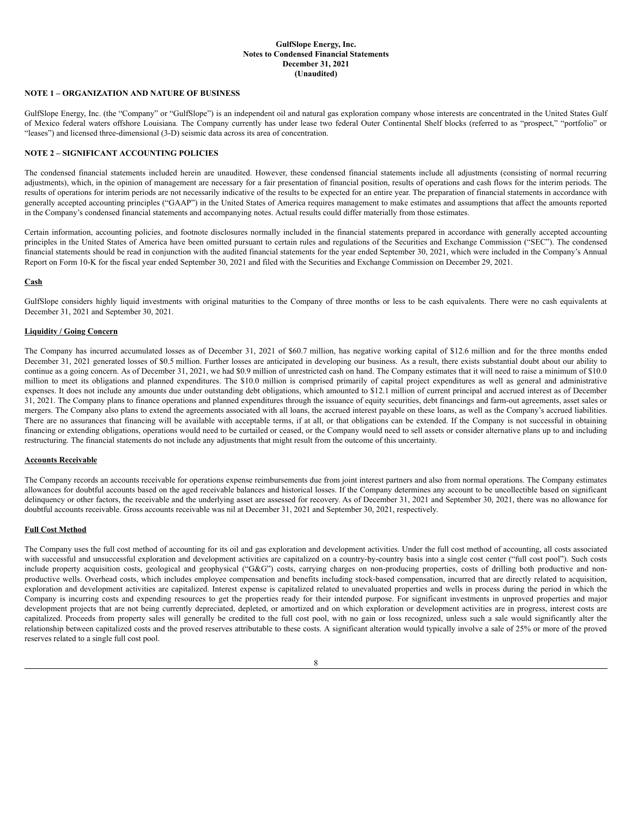#### **GulfSlope Energy, Inc. Notes to Condensed Financial Statements December 31, 2021 (Unaudited)**

# <span id="page-7-0"></span>**NOTE 1 – ORGANIZATION AND NATURE OF BUSINESS**

GulfSlope Energy, Inc. (the "Company" or "GulfSlope") is an independent oil and natural gas exploration company whose interests are concentrated in the United States Gulf of Mexico federal waters offshore Louisiana. The Company currently has under lease two federal Outer Continental Shelf blocks (referred to as "prospect," "portfolio" or "leases") and licensed three-dimensional (3-D) seismic data across its area of concentration.

# **NOTE 2 – SIGNIFICANT ACCOUNTING POLICIES**

The condensed financial statements included herein are unaudited. However, these condensed financial statements include all adjustments (consisting of normal recurring adjustments), which, in the opinion of management are necessary for a fair presentation of financial position, results of operations and cash flows for the interim periods. The results of operations for interim periods are not necessarily indicative of the results to be expected for an entire year. The preparation of financial statements in accordance with generally accepted accounting principles ("GAAP") in the United States of America requires management to make estimates and assumptions that affect the amounts reported in the Company's condensed financial statements and accompanying notes. Actual results could differ materially from those estimates.

Certain information, accounting policies, and footnote disclosures normally included in the financial statements prepared in accordance with generally accepted accounting principles in the United States of America have been omitted pursuant to certain rules and regulations of the Securities and Exchange Commission ("SEC"). The condensed financial statements should be read in conjunction with the audited financial statements for the year ended September 30, 2021, which were included in the Company's Annual Report on Form 10-K for the fiscal year ended September 30, 2021 and filed with the Securities and Exchange Commission on December 29, 2021.

#### **Cash**

GulfSlope considers highly liquid investments with original maturities to the Company of three months or less to be cash equivalents. There were no cash equivalents at December 31, 2021 and September 30, 2021.

#### **Liquidity / Going Concern**

The Company has incurred accumulated losses as of December 31, 2021 of \$60.7 million, has negative working capital of \$12.6 million and for the three months ended December 31, 2021 generated losses of \$0.5 million. Further losses are anticipated in developing our business. As a result, there exists substantial doubt about our ability to continue as a going concern. As of December 31, 2021, we had \$0.9 million of unrestricted cash on hand. The Company estimates that it will need to raise a minimum of \$10.0 million to meet its obligations and planned expenditures. The \$10.0 million is comprised primarily of capital project expenditures as well as general and administrative expenses. It does not include any amounts due under outstanding debt obligations, which amounted to \$12.1 million of current principal and accrued interest as of December 31, 2021. The Company plans to finance operations and planned expenditures through the issuance of equity securities, debt financings and farm-out agreements, asset sales or mergers. The Company also plans to extend the agreements associated with all loans, the accrued interest payable on these loans, as well as the Company's accrued liabilities. There are no assurances that financing will be available with acceptable terms, if at all, or that obligations can be extended. If the Company is not successful in obtaining financing or extending obligations, operations would need to be curtailed or ceased, or the Company would need to sell assets or consider alternative plans up to and including restructuring. The financial statements do not include any adjustments that might result from the outcome of this uncertainty.

# **Accounts Receivable**

The Company records an accounts receivable for operations expense reimbursements due from joint interest partners and also from normal operations. The Company estimates allowances for doubtful accounts based on the aged receivable balances and historical losses. If the Company determines any account to be uncollectible based on significant delinquency or other factors, the receivable and the underlying asset are assessed for recovery. As of December 31, 2021 and September 30, 2021, there was no allowance for doubtful accounts receivable. Gross accounts receivable was nil at December 31, 2021 and September 30, 2021, respectively.

#### **Full Cost Method**

The Company uses the full cost method of accounting for its oil and gas exploration and development activities. Under the full cost method of accounting, all costs associated with successful and unsuccessful exploration and development activities are capitalized on a country-by-country basis into a single cost center ("full cost pool"). Such costs include property acquisition costs, geological and geophysical ("G&G") costs, carrying charges on non-producing properties, costs of drilling both productive and nonproductive wells. Overhead costs, which includes employee compensation and benefits including stock-based compensation, incurred that are directly related to acquisition, exploration and development activities are capitalized. Interest expense is capitalized related to unevaluated properties and wells in process during the period in which the Company is incurring costs and expending resources to get the properties ready for their intended purpose. For significant investments in unproved properties and major development projects that are not being currently depreciated, depleted, or amortized and on which exploration or development activities are in progress, interest costs are capitalized. Proceeds from property sales will generally be credited to the full cost pool, with no gain or loss recognized, unless such a sale would significantly alter the relationship between capitalized costs and the proved reserves attributable to these costs. A significant alteration would typically involve a sale of 25% or more of the proved reserves related to a single full cost pool.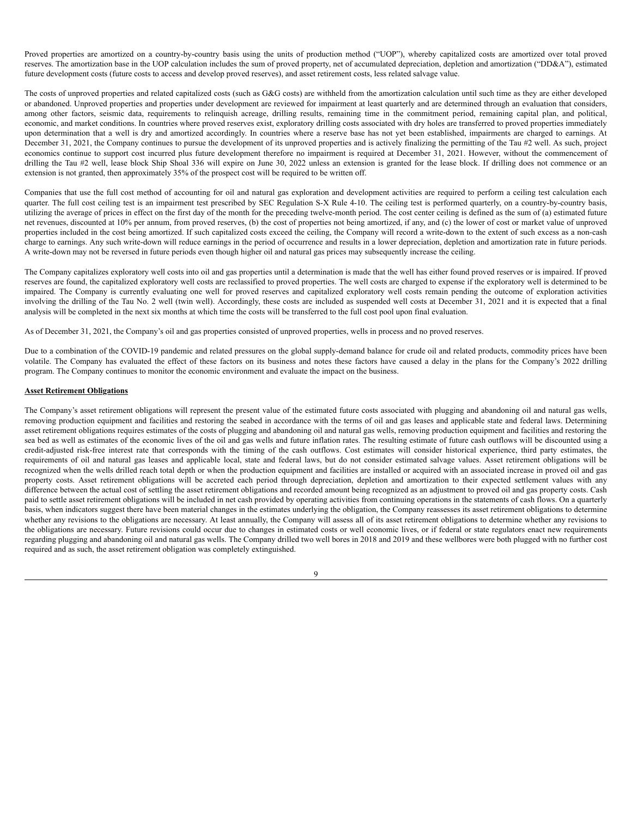Proved properties are amortized on a country-by-country basis using the units of production method ("UOP"), whereby capitalized costs are amortized over total proved reserves. The amortization base in the UOP calculation includes the sum of proved property, net of accumulated depreciation, depletion and amortization ("DD&A"), estimated future development costs (future costs to access and develop proved reserves), and asset retirement costs, less related salvage value.

The costs of unproved properties and related capitalized costs (such as G&G costs) are withheld from the amortization calculation until such time as they are either developed or abandoned. Unproved properties and properties under development are reviewed for impairment at least quarterly and are determined through an evaluation that considers, among other factors, seismic data, requirements to relinquish acreage, drilling results, remaining time in the commitment period, remaining capital plan, and political, economic, and market conditions. In countries where proved reserves exist, exploratory drilling costs associated with dry holes are transferred to proved properties immediately upon determination that a well is dry and amortized accordingly. In countries where a reserve base has not yet been established, impairments are charged to earnings. At December 31, 2021, the Company continues to pursue the development of its unproved properties and is actively finalizing the permitting of the Tau #2 well. As such, project economics continue to support cost incurred plus future development therefore no impairment is required at December 31, 2021. However, without the commencement of drilling the Tau #2 well, lease block Ship Shoal 336 will expire on June 30, 2022 unless an extension is granted for the lease block. If drilling does not commence or an extension is not granted, then approximately 35% of the prospect cost will be required to be written off.

Companies that use the full cost method of accounting for oil and natural gas exploration and development activities are required to perform a ceiling test calculation each quarter. The full cost ceiling test is an impairment test prescribed by SEC Regulation S-X Rule 4-10. The ceiling test is performed quarterly, on a country-by-country basis, utilizing the average of prices in effect on the first day of the month for the preceding twelve-month period. The cost center ceiling is defined as the sum of (a) estimated future net revenues, discounted at 10% per annum, from proved reserves, (b) the cost of properties not being amortized, if any, and (c) the lower of cost or market value of unproved properties included in the cost being amortized. If such capitalized costs exceed the ceiling, the Company will record a write-down to the extent of such excess as a non-cash charge to earnings. Any such write-down will reduce earnings in the period of occurrence and results in a lower depreciation, depletion and amortization rate in future periods. A write-down may not be reversed in future periods even though higher oil and natural gas prices may subsequently increase the ceiling.

The Company capitalizes exploratory well costs into oil and gas properties until a determination is made that the well has either found proved reserves or is impaired. If proved reserves are found, the capitalized exploratory well costs are reclassified to proved properties. The well costs are charged to expense if the exploratory well is determined to be impaired. The Company is currently evaluating one well for proved reserves and capitalized exploratory well costs remain pending the outcome of exploration activities involving the drilling of the Tau No. 2 well (twin well). Accordingly, these costs are included as suspended well costs at December 31, 2021 and it is expected that a final analysis will be completed in the next six months at which time the costs will be transferred to the full cost pool upon final evaluation.

As of December 31, 2021, the Company's oil and gas properties consisted of unproved properties, wells in process and no proved reserves.

Due to a combination of the COVID-19 pandemic and related pressures on the global supply-demand balance for crude oil and related products, commodity prices have been volatile. The Company has evaluated the effect of these factors on its business and notes these factors have caused a delay in the plans for the Company's 2022 drilling program. The Company continues to monitor the economic environment and evaluate the impact on the business.

#### **Asset Retirement Obligations**

The Company's asset retirement obligations will represent the present value of the estimated future costs associated with plugging and abandoning oil and natural gas wells, removing production equipment and facilities and restoring the seabed in accordance with the terms of oil and gas leases and applicable state and federal laws. Determining asset retirement obligations requires estimates of the costs of plugging and abandoning oil and natural gas wells, removing production equipment and facilities and restoring the sea bed as well as estimates of the economic lives of the oil and gas wells and future inflation rates. The resulting estimate of future cash outflows will be discounted using a credit-adjusted risk-free interest rate that corresponds with the timing of the cash outflows. Cost estimates will consider historical experience, third party estimates, the requirements of oil and natural gas leases and applicable local, state and federal laws, but do not consider estimated salvage values. Asset retirement obligations will be recognized when the wells drilled reach total depth or when the production equipment and facilities are installed or acquired with an associated increase in proved oil and gas property costs. Asset retirement obligations will be accreted each period through depreciation, depletion and amortization to their expected settlement values with any difference between the actual cost of settling the asset retirement obligations and recorded amount being recognized as an adjustment to proved oil and gas property costs. Cash paid to settle asset retirement obligations will be included in net cash provided by operating activities from continuing operations in the statements of cash flows. On a quarterly basis, when indicators suggest there have been material changes in the estimates underlying the obligation, the Company reassesses its asset retirement obligations to determine whether any revisions to the obligations are necessary. At least annually, the Company will assess all of its asset retirement obligations to determine whether any revisions to the obligations are necessary. Future revisions could occur due to changes in estimated costs or well economic lives, or if federal or state regulators enact new requirements regarding plugging and abandoning oil and natural gas wells. The Company drilled two well bores in 2018 and 2019 and these wellbores were both plugged with no further cost required and as such, the asset retirement obligation was completely extinguished.

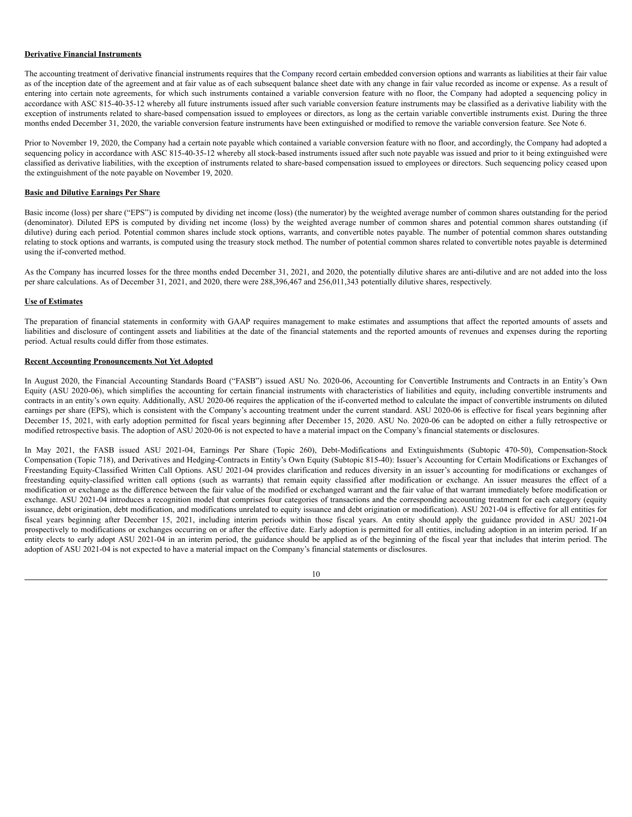## **Derivative Financial Instruments**

The accounting treatment of derivative financial instruments requires that the Company record certain embedded conversion options and warrants as liabilities at their fair value as of the inception date of the agreement and at fair value as of each subsequent balance sheet date with any change in fair value recorded as income or expense. As a result of entering into certain note agreements, for which such instruments contained a variable conversion feature with no floor, the Company had adopted a sequencing policy in accordance with ASC 815-40-35-12 whereby all future instruments issued after such variable conversion feature instruments may be classified as a derivative liability with the exception of instruments related to share-based compensation issued to employees or directors, as long as the certain variable convertible instruments exist. During the three months ended December 31, 2020, the variable conversion feature instruments have been extinguished or modified to remove the variable conversion feature. See Note 6.

Prior to November 19, 2020, the Company had a certain note payable which contained a variable conversion feature with no floor, and accordingly, the Company had adopted a sequencing policy in accordance with ASC 815-40-35-12 whereby all stock-based instruments issued after such note payable was issued and prior to it being extinguished were classified as derivative liabilities, with the exception of instruments related to share-based compensation issued to employees or directors. Such sequencing policy ceased upon the extinguishment of the note payable on November 19, 2020.

#### **Basic and Dilutive Earnings Per Share**

Basic income (loss) per share ("EPS") is computed by dividing net income (loss) (the numerator) by the weighted average number of common shares outstanding for the period (denominator). Diluted EPS is computed by dividing net income (loss) by the weighted average number of common shares and potential common shares outstanding (if dilutive) during each period. Potential common shares include stock options, warrants, and convertible notes payable. The number of potential common shares outstanding relating to stock options and warrants, is computed using the treasury stock method. The number of potential common shares related to convertible notes payable is determined using the if-converted method.

As the Company has incurred losses for the three months ended December 31, 2021, and 2020, the potentially dilutive shares are anti-dilutive and are not added into the loss per share calculations. As of December 31, 2021, and 2020, there were 288,396,467 and 256,011,343 potentially dilutive shares, respectively.

#### **Use of Estimates**

The preparation of financial statements in conformity with GAAP requires management to make estimates and assumptions that affect the reported amounts of assets and liabilities and disclosure of contingent assets and liabilities at the date of the financial statements and the reported amounts of revenues and expenses during the reporting period. Actual results could differ from those estimates.

#### **Recent Accounting Pronouncements Not Yet Adopted**

In August 2020, the Financial Accounting Standards Board ("FASB") issued ASU No. 2020-06, Accounting for Convertible Instruments and Contracts in an Entity's Own Equity (ASU 2020-06), which simplifies the accounting for certain financial instruments with characteristics of liabilities and equity, including convertible instruments and contracts in an entity's own equity. Additionally, ASU 2020-06 requires the application of the if-converted method to calculate the impact of convertible instruments on diluted earnings per share (EPS), which is consistent with the Company's accounting treatment under the current standard. ASU 2020-06 is effective for fiscal years beginning after December 15, 2021, with early adoption permitted for fiscal years beginning after December 15, 2020. ASU No. 2020-06 can be adopted on either a fully retrospective or modified retrospective basis. The adoption of ASU 2020-06 is not expected to have a material impact on the Company's financial statements or disclosures.

In May 2021, the FASB issued ASU 2021-04, Earnings Per Share (Topic 260), Debt-Modifications and Extinguishments (Subtopic 470-50), Compensation-Stock Compensation (Topic 718), and Derivatives and Hedging-Contracts in Entity's Own Equity (Subtopic 815-40): Issuer's Accounting for Certain Modifications or Exchanges of Freestanding Equity-Classified Written Call Options. ASU 2021-04 provides clarification and reduces diversity in an issuer's accounting for modifications or exchanges of freestanding equity-classified written call options (such as warrants) that remain equity classified after modification or exchange. An issuer measures the effect of a modification or exchange as the difference between the fair value of the modified or exchanged warrant and the fair value of that warrant immediately before modification or exchange. ASU 2021-04 introduces a recognition model that comprises four categories of transactions and the corresponding accounting treatment for each category (equity issuance, debt origination, debt modification, and modifications unrelated to equity issuance and debt origination or modification). ASU 2021-04 is effective for all entities for fiscal years beginning after December 15, 2021, including interim periods within those fiscal years. An entity should apply the guidance provided in ASU 2021-04 prospectively to modifications or exchanges occurring on or after the effective date. Early adoption is permitted for all entities, including adoption in an interim period. If an entity elects to early adopt ASU 2021-04 in an interim period, the guidance should be applied as of the beginning of the fiscal year that includes that interim period. The adoption of ASU 2021-04 is not expected to have a material impact on the Company's financial statements or disclosures.

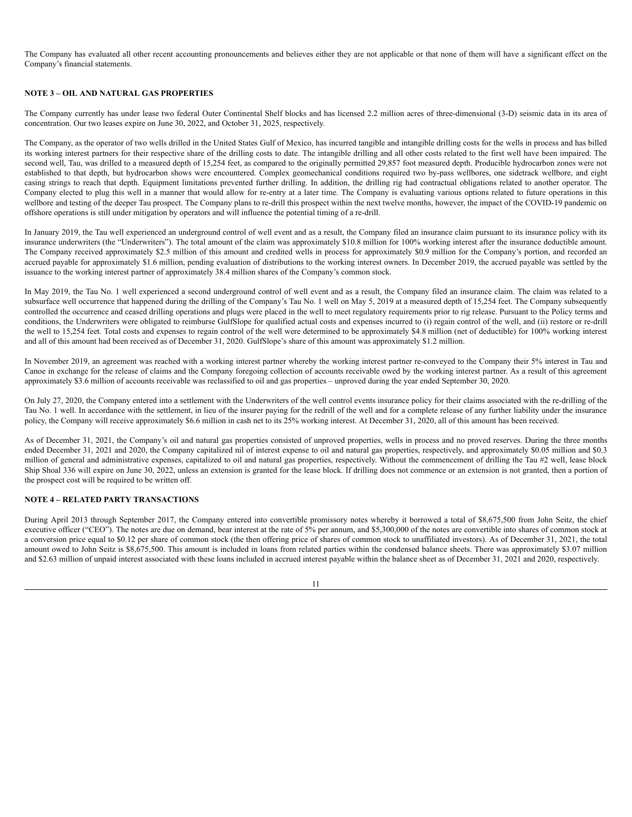The Company has evaluated all other recent accounting pronouncements and believes either they are not applicable or that none of them will have a significant effect on the Company's financial statements.

# **NOTE 3 – OIL AND NATURAL GAS PROPERTIES**

The Company currently has under lease two federal Outer Continental Shelf blocks and has licensed 2.2 million acres of three-dimensional (3-D) seismic data in its area of concentration. Our two leases expire on June 30, 2022, and October 31, 2025, respectively.

The Company, as the operator of two wells drilled in the United States Gulf of Mexico, has incurred tangible and intangible drilling costs for the wells in process and has billed its working interest partners for their respective share of the drilling costs to date. The intangible drilling and all other costs related to the first well have been impaired. The second well, Tau, was drilled to a measured depth of 15,254 feet, as compared to the originally permitted 29,857 foot measured depth. Producible hydrocarbon zones were not established to that depth, but hydrocarbon shows were encountered. Complex geomechanical conditions required two by-pass wellbores, one sidetrack wellbore, and eight casing strings to reach that depth. Equipment limitations prevented further drilling. In addition, the drilling rig had contractual obligations related to another operator. The Company elected to plug this well in a manner that would allow for re-entry at a later time. The Company is evaluating various options related to future operations in this wellbore and testing of the deeper Tau prospect. The Company plans to re-drill this prospect within the next twelve months, however, the impact of the COVID-19 pandemic on offshore operations is still under mitigation by operators and will influence the potential timing of a re-drill.

In January 2019, the Tau well experienced an underground control of well event and as a result, the Company filed an insurance claim pursuant to its insurance policy with its insurance underwriters (the "Underwriters"). The total amount of the claim was approximately \$10.8 million for 100% working interest after the insurance deductible amount. The Company received approximately \$2.5 million of this amount and credited wells in process for approximately \$0.9 million for the Company's portion, and recorded an accrued payable for approximately \$1.6 million, pending evaluation of distributions to the working interest owners. In December 2019, the accrued payable was settled by the issuance to the working interest partner of approximately 38.4 million shares of the Company's common stock.

In May 2019, the Tau No. 1 well experienced a second underground control of well event and as a result, the Company filed an insurance claim. The claim was related to a subsurface well occurrence that happened during the drilling of the Company's Tau No. 1 well on May 5, 2019 at a measured depth of 15,254 feet. The Company subsequently controlled the occurrence and ceased drilling operations and plugs were placed in the well to meet regulatory requirements prior to rig release. Pursuant to the Policy terms and conditions, the Underwriters were obligated to reimburse GulfSlope for qualified actual costs and expenses incurred to (i) regain control of the well, and (ii) restore or re-drill the well to 15,254 feet. Total costs and expenses to regain control of the well were determined to be approximately \$4.8 million (net of deductible) for 100% working interest and all of this amount had been received as of December 31, 2020. GulfSlope's share of this amount was approximately \$1.2 million.

In November 2019, an agreement was reached with a working interest partner whereby the working interest partner re-conveyed to the Company their 5% interest in Tau and Canoe in exchange for the release of claims and the Company foregoing collection of accounts receivable owed by the working interest partner. As a result of this agreement approximately \$3.6 million of accounts receivable was reclassified to oil and gas properties – unproved during the year ended September 30, 2020.

On July 27, 2020, the Company entered into a settlement with the Underwriters of the well control events insurance policy for their claims associated with the re-drilling of the Tau No. 1 well. In accordance with the settlement, in lieu of the insurer paying for the redrill of the well and for a complete release of any further liability under the insurance policy, the Company will receive approximately \$6.6 million in cash net to its 25% working interest. At December 31, 2020, all of this amount has been received.

As of December 31, 2021, the Company's oil and natural gas properties consisted of unproved properties, wells in process and no proved reserves. During the three months ended December 31, 2021 and 2020, the Company capitalized nil of interest expense to oil and natural gas properties, respectively, and approximately \$0.05 million and \$0.3 million of general and administrative expenses, capitalized to oil and natural gas properties, respectively. Without the commencement of drilling the Tau #2 well, lease block Ship Shoal 336 will expire on June 30, 2022, unless an extension is granted for the lease block. If drilling does not commence or an extension is not granted, then a portion of the prospect cost will be required to be written off.

#### **NOTE 4 – RELATED PARTY TRANSACTIONS**

During April 2013 through September 2017, the Company entered into convertible promissory notes whereby it borrowed a total of \$8,675,500 from John Seitz, the chief executive officer ("CEO"). The notes are due on demand, bear interest at the rate of 5% per annum, and \$5,300,000 of the notes are convertible into shares of common stock at a conversion price equal to \$0.12 per share of common stock (the then offering price of shares of common stock to unaffiliated investors). As of December 31, 2021, the total amount owed to John Seitz is \$8,675,500. This amount is included in loans from related parties within the condensed balance sheets. There was approximately \$3.07 million and \$2.63 million of unpaid interest associated with these loans included in accrued interest payable within the balance sheet as of December 31, 2021 and 2020, respectively.

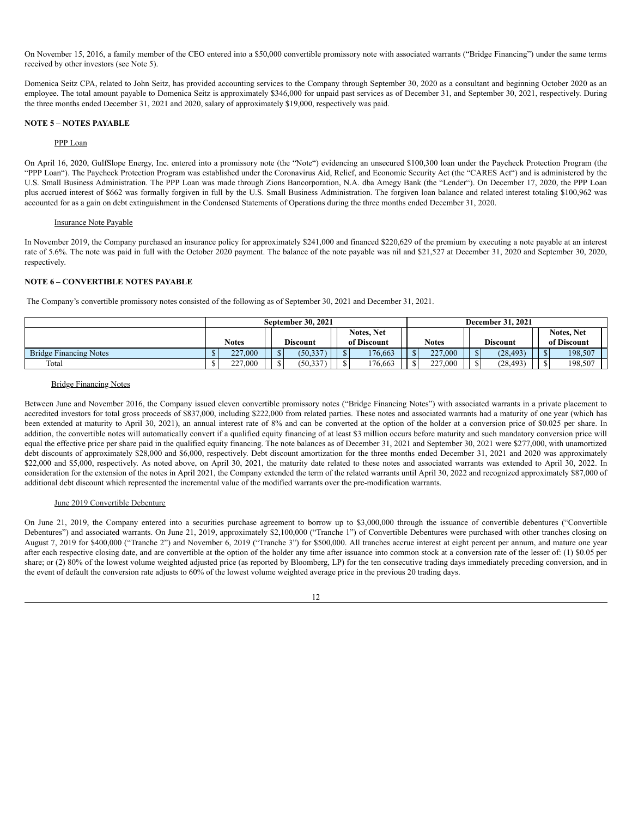On November 15, 2016, a family member of the CEO entered into a \$50,000 convertible promissory note with associated warrants ("Bridge Financing") under the same terms received by other investors (see Note 5).

Domenica Seitz CPA, related to John Seitz, has provided accounting services to the Company through September 30, 2020 as a consultant and beginning October 2020 as an employee. The total amount payable to Domenica Seitz is approximately \$346,000 for unpaid past services as of December 31, and September 30, 2021, respectively. During the three months ended December 31, 2021 and 2020, salary of approximately \$19,000, respectively was paid.

# **NOTE 5 – NOTES PAYABLE**

# PPP Loan

On April 16, 2020, GulfSlope Energy, Inc. entered into a promissory note (the "Note") evidencing an unsecured \$100,300 loan under the Paycheck Protection Program (the "PPP Loan"). The Paycheck Protection Program was established under the Coronavirus Aid, Relief, and Economic Security Act (the "CARES Act") and is administered by the U.S. Small Business Administration. The PPP Loan was made through Zions Bancorporation, N.A. dba Amegy Bank (the "Lender"). On December 17, 2020, the PPP Loan plus accrued interest of \$662 was formally forgiven in full by the U.S. Small Business Administration. The forgiven loan balance and related interest totaling \$100,962 was accounted for as a gain on debt extinguishment in the Condensed Statements of Operations during the three months ended December 31, 2020.

#### Insurance Note Payable

In November 2019, the Company purchased an insurance policy for approximately \$241,000 and financed \$220,629 of the premium by executing a note payable at an interest rate of 5.6%. The note was paid in full with the October 2020 payment. The balance of the note payable was nil and \$21,527 at December 31, 2020 and September 30, 2020, respectively.

# **NOTE 6 – CONVERTIBLE NOTES PAYABLE**

The Company's convertible promissory notes consisted of the following as of September 30, 2021 and December 31, 2021.

|                               | <b>September 30, 2021</b> |              |  |                 |           | <b>December 31, 2021</b> |         |         |                 |                   |                 |             |         |  |  |            |
|-------------------------------|---------------------------|--------------|--|-----------------|-----------|--------------------------|---------|---------|-----------------|-------------------|-----------------|-------------|---------|--|--|------------|
|                               |                           |              |  |                 |           |                          |         |         |                 | <b>Notes, Net</b> |                 |             |         |  |  | Notes, Net |
|                               |                           | <b>Notes</b> |  | <b>Discount</b> |           | of Discount              |         |         | <b>Notes</b>    |                   | <b>Discount</b> | of Discount |         |  |  |            |
| <b>Bridge Financing Notes</b> | JD.                       | 227,000      |  |                 | (50, 337) |                          | 176.663 | ሐ<br>D. | 227,000         | $\mathbb{S}$      | (28.493)        |             | 198,507 |  |  |            |
| Total                         | $\sqrt{2}$<br>D           | 227,000      |  |                 | (50.337)  |                          | 176,663 |         | 227,000<br>، عد | \$                | (28, 493)       |             | 198,507 |  |  |            |

# Bridge Financing Notes

Between June and November 2016, the Company issued eleven convertible promissory notes ("Bridge Financing Notes") with associated warrants in a private placement to accredited investors for total gross proceeds of \$837,000, including \$222,000 from related parties. These notes and associated warrants had a maturity of one year (which has been extended at maturity to April 30, 2021), an annual interest rate of 8% and can be converted at the option of the holder at a conversion price of \$0.025 per share. In addition, the convertible notes will automatically convert if a qualified equity financing of at least \$3 million occurs before maturity and such mandatory conversion price will equal the effective price per share paid in the qualified equity financing. The note balances as of December 31, 2021 and September 30, 2021 were \$277,000, with unamortized debt discounts of approximately \$28,000 and \$6,000, respectively. Debt discount amortization for the three months ended December 31, 2021 and 2020 was approximately \$22,000 and \$5,000, respectively. As noted above, on April 30, 2021, the maturity date related to these notes and associated warrants was extended to April 30, 2022. In consideration for the extension of the notes in April 2021, the Company extended the term of the related warrants until April 30, 2022 and recognized approximately \$87,000 of additional debt discount which represented the incremental value of the modified warrants over the pre-modification warrants.

#### June 2019 Convertible Debenture

On June 21, 2019, the Company entered into a securities purchase agreement to borrow up to \$3,000,000 through the issuance of convertible debentures ("Convertible Debentures") and associated warrants. On June 21, 2019, approximately \$2,100,000 ("Tranche 1") of Convertible Debentures were purchased with other tranches closing on August 7, 2019 for \$400,000 ("Tranche 2") and November 6, 2019 ("Tranche 3") for \$500,000. All tranches accrue interest at eight percent per annum, and mature one year after each respective closing date, and are convertible at the option of the holder any time after issuance into common stock at a conversion rate of the lesser of: (1) \$0.05 per share; or (2) 80% of the lowest volume weighted adjusted price (as reported by Bloomberg, LP) for the ten consecutive trading days immediately preceding conversion, and in the event of default the conversion rate adjusts to 60% of the lowest volume weighted average price in the previous 20 trading days.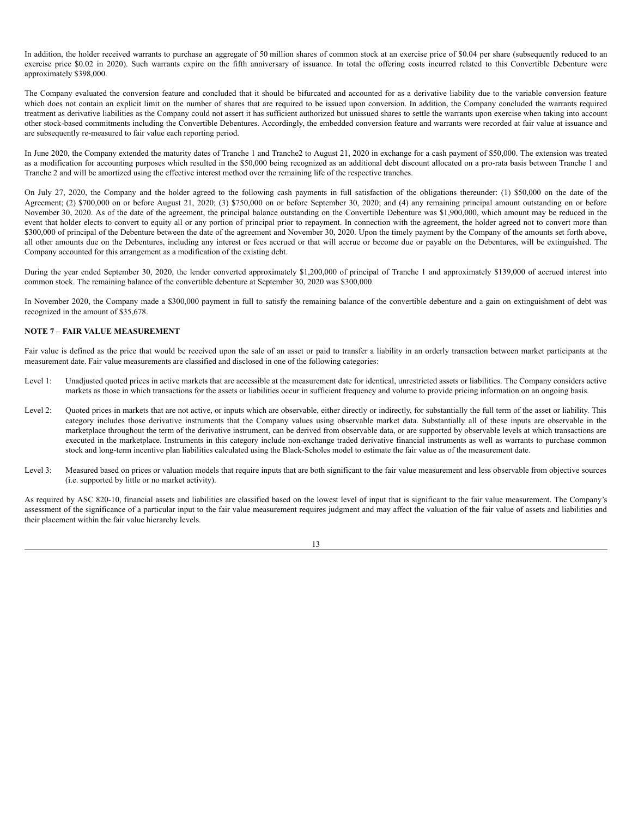In addition, the holder received warrants to purchase an aggregate of 50 million shares of common stock at an exercise price of \$0.04 per share (subsequently reduced to an exercise price \$0.02 in 2020). Such warrants expire on the fifth anniversary of issuance. In total the offering costs incurred related to this Convertible Debenture were approximately \$398,000.

The Company evaluated the conversion feature and concluded that it should be bifurcated and accounted for as a derivative liability due to the variable conversion feature which does not contain an explicit limit on the number of shares that are required to be issued upon conversion. In addition, the Company concluded the warrants required treatment as derivative liabilities as the Company could not assert it has sufficient authorized but unissued shares to settle the warrants upon exercise when taking into account other stock-based commitments including the Convertible Debentures. Accordingly, the embedded conversion feature and warrants were recorded at fair value at issuance and are subsequently re-measured to fair value each reporting period.

In June 2020, the Company extended the maturity dates of Tranche 1 and Tranche2 to August 21, 2020 in exchange for a cash payment of \$50,000. The extension was treated as a modification for accounting purposes which resulted in the \$50,000 being recognized as an additional debt discount allocated on a pro-rata basis between Tranche 1 and Tranche 2 and will be amortized using the effective interest method over the remaining life of the respective tranches.

On July 27, 2020, the Company and the holder agreed to the following cash payments in full satisfaction of the obligations thereunder: (1) \$50,000 on the date of the Agreement; (2) \$700,000 on or before August 21, 2020; (3) \$750,000 on or before September 30, 2020; and (4) any remaining principal amount outstanding on or before November 30, 2020. As of the date of the agreement, the principal balance outstanding on the Convertible Debenture was \$1,900,000, which amount may be reduced in the event that holder elects to convert to equity all or any portion of principal prior to repayment. In connection with the agreement, the holder agreed not to convert more than \$300,000 of principal of the Debenture between the date of the agreement and November 30, 2020. Upon the timely payment by the Company of the amounts set forth above, all other amounts due on the Debentures, including any interest or fees accrued or that will accrue or become due or payable on the Debentures, will be extinguished. The Company accounted for this arrangement as a modification of the existing debt.

During the year ended September 30, 2020, the lender converted approximately \$1,200,000 of principal of Tranche 1 and approximately \$139,000 of accrued interest into common stock. The remaining balance of the convertible debenture at September 30, 2020 was \$300,000.

In November 2020, the Company made a \$300,000 payment in full to satisfy the remaining balance of the convertible debenture and a gain on extinguishment of debt was recognized in the amount of \$35,678.

## **NOTE 7 – FAIR VALUE MEASUREMENT**

Fair value is defined as the price that would be received upon the sale of an asset or paid to transfer a liability in an orderly transaction between market participants at the measurement date. Fair value measurements are classified and disclosed in one of the following categories:

- Level 1: Unadjusted quoted prices in active markets that are accessible at the measurement date for identical, unrestricted assets or liabilities. The Company considers active markets as those in which transactions for the assets or liabilities occur in sufficient frequency and volume to provide pricing information on an ongoing basis.
- Level 2: Ouoted prices in markets that are not active, or inputs which are observable, either directly or indirectly, for substantially the full term of the asset or liability. This category includes those derivative instruments that the Company values using observable market data. Substantially all of these inputs are observable in the marketplace throughout the term of the derivative instrument, can be derived from observable data, or are supported by observable levels at which transactions are executed in the marketplace. Instruments in this category include non-exchange traded derivative financial instruments as well as warrants to purchase common stock and long-term incentive plan liabilities calculated using the Black-Scholes model to estimate the fair value as of the measurement date.
- Level 3: Measured based on prices or valuation models that require inputs that are both significant to the fair value measurement and less observable from objective sources (i.e. supported by little or no market activity).

As required by ASC 820-10, financial assets and liabilities are classified based on the lowest level of input that is significant to the fair value measurement. The Company's assessment of the significance of a particular input to the fair value measurement requires judgment and may affect the valuation of the fair value of assets and liabilities and their placement within the fair value hierarchy levels.

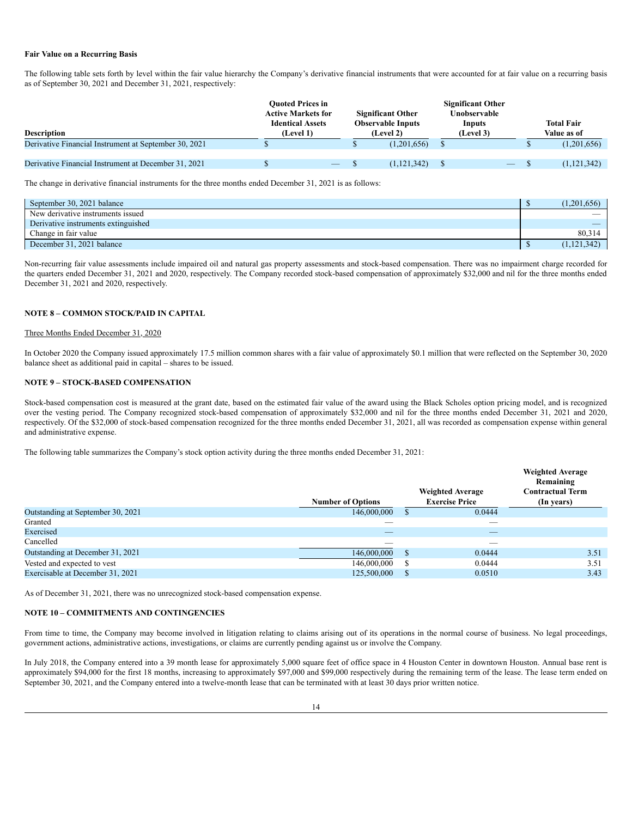#### **Fair Value on a Recurring Basis**

The following table sets forth by level within the fair value hierarchy the Company's derivative financial instruments that were accounted for at fair value on a recurring basis as of September 30, 2021 and December 31, 2021, respectively:

|                                                       | <b>Ouoted Prices in</b><br><b>Active Markets for</b><br><b>Identical Assets</b> |                          | <b>Significant Other</b><br><b>Observable Inputs</b> | <b>Significant Other</b><br>Unobservable<br>Inputs |                                 | <b>Total Fair</b> |
|-------------------------------------------------------|---------------------------------------------------------------------------------|--------------------------|------------------------------------------------------|----------------------------------------------------|---------------------------------|-------------------|
| <b>Description</b>                                    | (Level 1)                                                                       |                          | (Level 2)                                            | (Level 3)                                          |                                 | Value as of       |
| Derivative Financial Instrument at September 30, 2021 |                                                                                 |                          | (1,201,656)                                          |                                                    |                                 | (1,201,656)       |
| Derivative Financial Instrument at December 31, 2021  |                                                                                 | $\overline{\phantom{a}}$ | (1, 121, 342)                                        |                                                    | $\hspace{0.1mm}-\hspace{0.1mm}$ | (1, 121, 342)     |

The change in derivative financial instruments for the three months ended December 31, 2021 is as follows:

| September 30, 2021 balance          | (1.201.656)   |
|-------------------------------------|---------------|
| New derivative instruments issued   |               |
| Derivative instruments extinguished |               |
| Change in fair value                | 80,314        |
| December 31, 2021 balance           | (1, 121, 342) |

Non-recurring fair value assessments include impaired oil and natural gas property assessments and stock-based compensation. There was no impairment charge recorded for the quarters ended December 31, 2021 and 2020, respectively. The Company recorded stock-based compensation of approximately \$32,000 and nil for the three months ended December 31, 2021 and 2020, respectively.

# **NOTE 8 – COMMON STOCK/PAID IN CAPITAL**

#### Three Months Ended December 31, 2020

In October 2020 the Company issued approximately 17.5 million common shares with a fair value of approximately \$0.1 million that were reflected on the September 30, 2020 balance sheet as additional paid in capital – shares to be issued.

#### **NOTE 9 – STOCK-BASED COMPENSATION**

Stock-based compensation cost is measured at the grant date, based on the estimated fair value of the award using the Black Scholes option pricing model, and is recognized over the vesting period. The Company recognized stock-based compensation of approximately \$32,000 and nil for the three months ended December 31, 2021 and 2020, respectively. Of the \$32,000 of stock-based compensation recognized for the three months ended December 31, 2021, all was recorded as compensation expense within general and administrative expense.

The following table summarizes the Company's stock option activity during the three months ended December 31, 2021:

|                                   | <b>Number of Options</b> | <b>Weighted Average</b><br><b>Exercise Price</b> | <b>Weighted Average</b><br>Remaining<br><b>Contractual Term</b><br>(In years) |
|-----------------------------------|--------------------------|--------------------------------------------------|-------------------------------------------------------------------------------|
| Outstanding at September 30, 2021 | 146,000,000              | 0.0444                                           |                                                                               |
| Granted                           |                          |                                                  |                                                                               |
| Exercised                         |                          |                                                  |                                                                               |
| Cancelled                         |                          |                                                  |                                                                               |
| Outstanding at December 31, 2021  | 146,000,000              | 0.0444                                           | 3.51                                                                          |
| Vested and expected to vest       | 146,000,000              | 0.0444                                           | 3.51                                                                          |
| Exercisable at December 31, 2021  | 125,500,000              | 0.0510                                           | 3.43                                                                          |

As of December 31, 2021, there was no unrecognized stock-based compensation expense.

# **NOTE 10 – COMMITMENTS AND CONTINGENCIES**

From time to time, the Company may become involved in litigation relating to claims arising out of its operations in the normal course of business. No legal proceedings, government actions, administrative actions, investigations, or claims are currently pending against us or involve the Company.

In July 2018, the Company entered into a 39 month lease for approximately 5,000 square feet of office space in 4 Houston Center in downtown Houston. Annual base rent is approximately \$94,000 for the first 18 months, increasing to approximately \$97,000 and \$99,000 respectively during the remaining term of the lease. The lease term ended on September 30, 2021, and the Company entered into a twelve-month lease that can be terminated with at least 30 days prior written notice.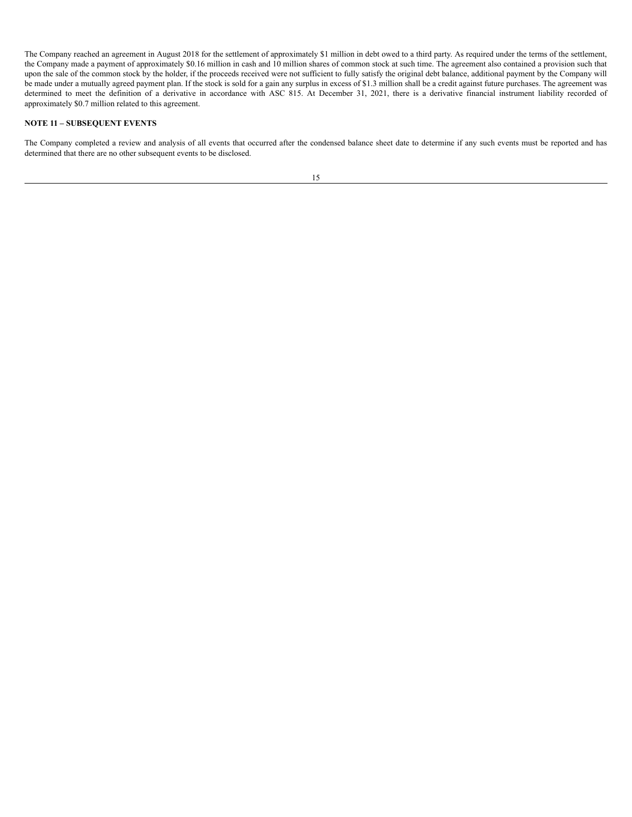The Company reached an agreement in August 2018 for the settlement of approximately \$1 million in debt owed to a third party. As required under the terms of the settlement, the Company made a payment of approximately \$0.16 million in cash and 10 million shares of common stock at such time. The agreement also contained a provision such that upon the sale of the common stock by the holder, if the proceeds received were not sufficient to fully satisfy the original debt balance, additional payment by the Company will be made under a mutually agreed payment plan. If the stock is sold for a gain any surplus in excess of \$1.3 million shall be a credit against future purchases. The agreement was determined to meet the definition of a derivative in accordance with ASC 815. At December 31, 2021, there is a derivative financial instrument liability recorded of approximately \$0.7 million related to this agreement.

# **NOTE 11 – SUBSEQUENT EVENTS**

The Company completed a review and analysis of all events that occurred after the condensed balance sheet date to determine if any such events must be reported and has determined that there are no other subsequent events to be disclosed.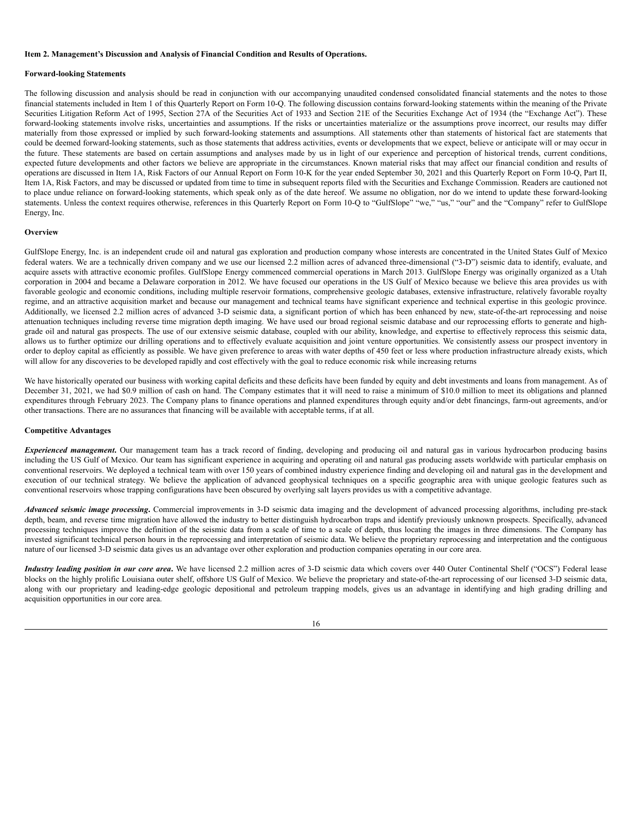#### <span id="page-15-0"></span>**Item 2. Management's Discussion and Analysis of Financial Condition and Results of Operations.**

#### **Forward-looking Statements**

The following discussion and analysis should be read in conjunction with our accompanying unaudited condensed consolidated financial statements and the notes to those financial statements included in Item 1 of this Quarterly Report on Form 10-Q. The following discussion contains forward-looking statements within the meaning of the Private Securities Litigation Reform Act of 1995, Section 27A of the Securities Act of 1933 and Section 21E of the Securities Exchange Act of 1934 (the "Exchange Act"). These forward-looking statements involve risks, uncertainties and assumptions. If the risks or uncertainties materialize or the assumptions prove incorrect, our results may differ materially from those expressed or implied by such forward-looking statements and assumptions. All statements other than statements of historical fact are statements that could be deemed forward-looking statements, such as those statements that address activities, events or developments that we expect, believe or anticipate will or may occur in the future. These statements are based on certain assumptions and analyses made by us in light of our experience and perception of historical trends, current conditions, expected future developments and other factors we believe are appropriate in the circumstances. Known material risks that may affect our financial condition and results of operations are discussed in Item 1A, Risk Factors of our Annual Report on Form 10-K for the year ended September 30, 2021 and this Quarterly Report on Form 10-Q, Part II, Item 1A, Risk Factors, and may be discussed or updated from time to time in subsequent reports filed with the Securities and Exchange Commission. Readers are cautioned not to place undue reliance on forward-looking statements, which speak only as of the date hereof. We assume no obligation, nor do we intend to update these forward-looking statements. Unless the context requires otherwise, references in this Quarterly Report on Form 10-Q to "GulfSlope" "we," "us," "our" and the "Company" refer to GulfSlope Energy, Inc.

#### **Overview**

GulfSlope Energy, Inc. is an independent crude oil and natural gas exploration and production company whose interests are concentrated in the United States Gulf of Mexico federal waters. We are a technically driven company and we use our licensed 2.2 million acres of advanced three-dimensional ("3-D") seismic data to identify, evaluate, and acquire assets with attractive economic profiles. GulfSlope Energy commenced commercial operations in March 2013. GulfSlope Energy was originally organized as a Utah corporation in 2004 and became a Delaware corporation in 2012. We have focused our operations in the US Gulf of Mexico because we believe this area provides us with favorable geologic and economic conditions, including multiple reservoir formations, comprehensive geologic databases, extensive infrastructure, relatively favorable royalty regime, and an attractive acquisition market and because our management and technical teams have significant experience and technical expertise in this geologic province. Additionally, we licensed 2.2 million acres of advanced 3-D seismic data, a significant portion of which has been enhanced by new, state-of-the-art reprocessing and noise attenuation techniques including reverse time migration depth imaging. We have used our broad regional seismic database and our reprocessing efforts to generate and highgrade oil and natural gas prospects. The use of our extensive seismic database, coupled with our ability, knowledge, and expertise to effectively reprocess this seismic data, allows us to further optimize our drilling operations and to effectively evaluate acquisition and joint venture opportunities. We consistently assess our prospect inventory in order to deploy capital as efficiently as possible. We have given preference to areas with water depths of 450 feet or less where production infrastructure already exists, which will allow for any discoveries to be developed rapidly and cost effectively with the goal to reduce economic risk while increasing returns

We have historically operated our business with working capital deficits and these deficits have been funded by equity and debt investments and loans from management. As of December 31, 2021, we had \$0.9 million of cash on hand. The Company estimates that it will need to raise a minimum of \$10.0 million to meet its obligations and planned expenditures through February 2023. The Company plans to finance operations and planned expenditures through equity and/or debt financings, farm-out agreements, and/or other transactions. There are no assurances that financing will be available with acceptable terms, if at all.

# **Competitive Advantages**

*Experienced management***.** Our management team has a track record of finding, developing and producing oil and natural gas in various hydrocarbon producing basins including the US Gulf of Mexico. Our team has significant experience in acquiring and operating oil and natural gas producing assets worldwide with particular emphasis on conventional reservoirs. We deployed a technical team with over 150 years of combined industry experience finding and developing oil and natural gas in the development and execution of our technical strategy. We believe the application of advanced geophysical techniques on a specific geographic area with unique geologic features such as conventional reservoirs whose trapping configurations have been obscured by overlying salt layers provides us with a competitive advantage.

*Advanced seismic image processing***.** Commercial improvements in 3-D seismic data imaging and the development of advanced processing algorithms, including pre-stack depth, beam, and reverse time migration have allowed the industry to better distinguish hydrocarbon traps and identify previously unknown prospects. Specifically, advanced processing techniques improve the definition of the seismic data from a scale of time to a scale of depth, thus locating the images in three dimensions. The Company has invested significant technical person hours in the reprocessing and interpretation of seismic data. We believe the proprietary reprocessing and interpretation and the contiguous nature of our licensed 3-D seismic data gives us an advantage over other exploration and production companies operating in our core area.

*Industry leading position in our core area***.** We have licensed 2.2 million acres of 3-D seismic data which covers over 440 Outer Continental Shelf ("OCS") Federal lease blocks on the highly prolific Louisiana outer shelf, offshore US Gulf of Mexico. We believe the proprietary and state-of-the-art reprocessing of our licensed 3-D seismic data, along with our proprietary and leading-edge geologic depositional and petroleum trapping models, gives us an advantage in identifying and high grading drilling and acquisition opportunities in our core area.

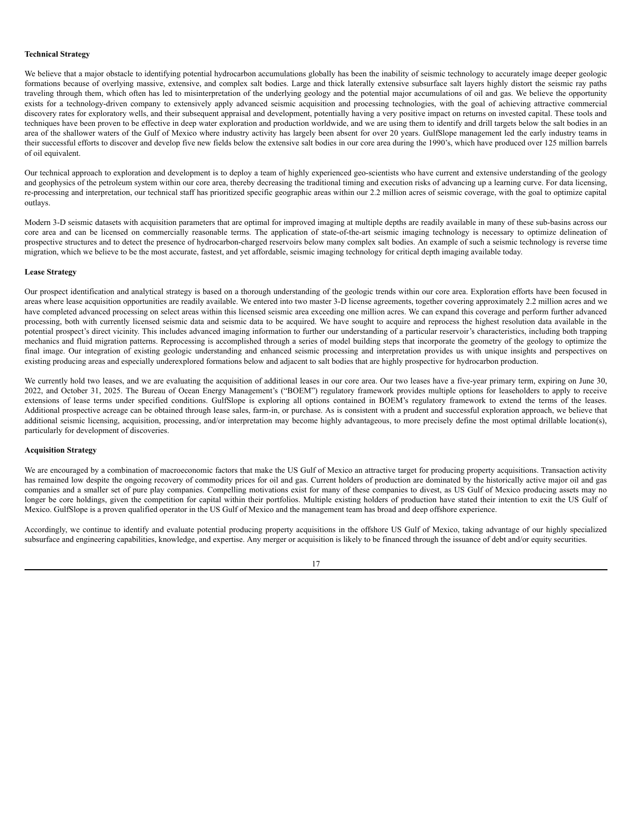#### **Technical Strategy**

We believe that a major obstacle to identifying potential hydrocarbon accumulations globally has been the inability of seismic technology to accurately image deeper geologic formations because of overlying massive, extensive, and complex salt bodies. Large and thick laterally extensive subsurface salt layers highly distort the seismic ray paths traveling through them, which often has led to misinterpretation of the underlying geology and the potential major accumulations of oil and gas. We believe the opportunity exists for a technology-driven company to extensively apply advanced seismic acquisition and processing technologies, with the goal of achieving attractive commercial discovery rates for exploratory wells, and their subsequent appraisal and development, potentially having a very positive impact on returns on invested capital. These tools and techniques have been proven to be effective in deep water exploration and production worldwide, and we are using them to identify and drill targets below the salt bodies in an area of the shallower waters of the Gulf of Mexico where industry activity has largely been absent for over 20 years. GulfSlope management led the early industry teams in their successful efforts to discover and develop five new fields below the extensive salt bodies in our core area during the 1990's, which have produced over 125 million barrels of oil equivalent.

Our technical approach to exploration and development is to deploy a team of highly experienced geo-scientists who have current and extensive understanding of the geology and geophysics of the petroleum system within our core area, thereby decreasing the traditional timing and execution risks of advancing up a learning curve. For data licensing, re-processing and interpretation, our technical staff has prioritized specific geographic areas within our 2.2 million acres of seismic coverage, with the goal to optimize capital outlays.

Modern 3-D seismic datasets with acquisition parameters that are optimal for improved imaging at multiple depths are readily available in many of these sub-basins across our core area and can be licensed on commercially reasonable terms. The application of state-of-the-art seismic imaging technology is necessary to optimize delineation of prospective structures and to detect the presence of hydrocarbon-charged reservoirs below many complex salt bodies. An example of such a seismic technology is reverse time migration, which we believe to be the most accurate, fastest, and yet affordable, seismic imaging technology for critical depth imaging available today.

#### **Lease Strategy**

Our prospect identification and analytical strategy is based on a thorough understanding of the geologic trends within our core area. Exploration efforts have been focused in areas where lease acquisition opportunities are readily available. We entered into two master 3-D license agreements, together covering approximately 2.2 million acres and we have completed advanced processing on select areas within this licensed seismic area exceeding one million acres. We can expand this coverage and perform further advanced processing, both with currently licensed seismic data and seismic data to be acquired. We have sought to acquire and reprocess the highest resolution data available in the potential prospect's direct vicinity. This includes advanced imaging information to further our understanding of a particular reservoir's characteristics, including both trapping mechanics and fluid migration patterns. Reprocessing is accomplished through a series of model building steps that incorporate the geometry of the geology to optimize the final image. Our integration of existing geologic understanding and enhanced seismic processing and interpretation provides us with unique insights and perspectives on existing producing areas and especially underexplored formations below and adjacent to salt bodies that are highly prospective for hydrocarbon production.

We currently hold two leases, and we are evaluating the acquisition of additional leases in our core area. Our two leases have a five-year primary term, expiring on June 30, 2022, and October 31, 2025. The Bureau of Ocean Energy Management's ("BOEM") regulatory framework provides multiple options for leaseholders to apply to receive extensions of lease terms under specified conditions. GulfSlope is exploring all options contained in BOEM's regulatory framework to extend the terms of the leases. Additional prospective acreage can be obtained through lease sales, farm-in, or purchase. As is consistent with a prudent and successful exploration approach, we believe that additional seismic licensing, acquisition, processing, and/or interpretation may become highly advantageous, to more precisely define the most optimal drillable location(s), particularly for development of discoveries.

#### **Acquisition Strategy**

We are encouraged by a combination of macroeconomic factors that make the US Gulf of Mexico an attractive target for producing property acquisitions. Transaction activity has remained low despite the ongoing recovery of commodity prices for oil and gas. Current holders of production are dominated by the historically active major oil and gas companies and a smaller set of pure play companies. Compelling motivations exist for many of these companies to divest, as US Gulf of Mexico producing assets may no longer be core holdings, given the competition for capital within their portfolios. Multiple existing holders of production have stated their intention to exit the US Gulf of Mexico. GulfSlope is a proven qualified operator in the US Gulf of Mexico and the management team has broad and deep offshore experience.

Accordingly, we continue to identify and evaluate potential producing property acquisitions in the offshore US Gulf of Mexico, taking advantage of our highly specialized subsurface and engineering capabilities, knowledge, and expertise. Any merger or acquisition is likely to be financed through the issuance of debt and/or equity securities.

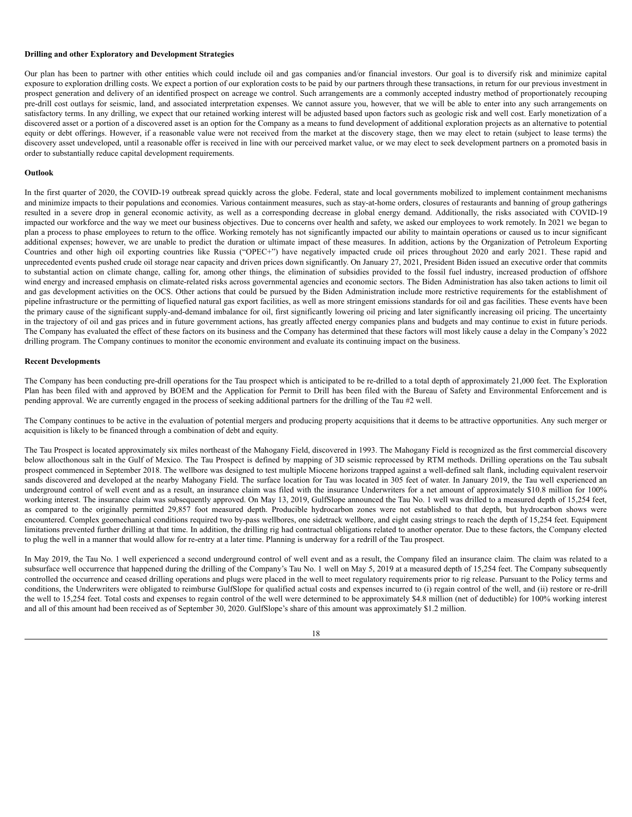#### **Drilling and other Exploratory and Development Strategies**

Our plan has been to partner with other entities which could include oil and gas companies and/or financial investors. Our goal is to diversify risk and minimize capital exposure to exploration drilling costs. We expect a portion of our exploration costs to be paid by our partners through these transactions, in return for our previous investment in prospect generation and delivery of an identified prospect on acreage we control. Such arrangements are a commonly accepted industry method of proportionately recouping pre-drill cost outlays for seismic, land, and associated interpretation expenses. We cannot assure you, however, that we will be able to enter into any such arrangements on satisfactory terms. In any drilling, we expect that our retained working interest will be adjusted based upon factors such as geologic risk and well cost. Early monetization of a discovered asset or a portion of a discovered asset is an option for the Company as a means to fund development of additional exploration projects as an alternative to potential equity or debt offerings. However, if a reasonable value were not received from the market at the discovery stage, then we may elect to retain (subject to lease terms) the discovery asset undeveloped, until a reasonable offer is received in line with our perceived market value, or we may elect to seek development partners on a promoted basis in order to substantially reduce capital development requirements.

#### **Outlook**

In the first quarter of 2020, the COVID-19 outbreak spread quickly across the globe. Federal, state and local governments mobilized to implement containment mechanisms and minimize impacts to their populations and economies. Various containment measures, such as stay-at-home orders, closures of restaurants and banning of group gatherings resulted in a severe drop in general economic activity, as well as a corresponding decrease in global energy demand. Additionally, the risks associated with COVID-19 impacted our workforce and the way we meet our business objectives. Due to concerns over health and safety, we asked our employees to work remotely. In 2021 we began to plan a process to phase employees to return to the office. Working remotely has not significantly impacted our ability to maintain operations or caused us to incur significant additional expenses; however, we are unable to predict the duration or ultimate impact of these measures. In addition, actions by the Organization of Petroleum Exporting Countries and other high oil exporting countries like Russia ("OPEC+") have negatively impacted crude oil prices throughout 2020 and early 2021. These rapid and unprecedented events pushed crude oil storage near capacity and driven prices down significantly. On January 27, 2021, President Biden issued an executive order that commits to substantial action on climate change, calling for, among other things, the elimination of subsidies provided to the fossil fuel industry, increased production of offshore wind energy and increased emphasis on climate-related risks across governmental agencies and economic sectors. The Biden Administration has also taken actions to limit oil and gas development activities on the OCS. Other actions that could be pursued by the Biden Administration include more restrictive requirements for the establishment of pipeline infrastructure or the permitting of liquefied natural gas export facilities, as well as more stringent emissions standards for oil and gas facilities. These events have been the primary cause of the significant supply-and-demand imbalance for oil, first significantly lowering oil pricing and later significantly increasing oil pricing. The uncertainty in the trajectory of oil and gas prices and in future government actions, has greatly affected energy companies plans and budgets and may continue to exist in future periods. The Company has evaluated the effect of these factors on its business and the Company has determined that these factors will most likely cause a delay in the Company's 2022 drilling program. The Company continues to monitor the economic environment and evaluate its continuing impact on the business.

#### **Recent Developments**

The Company has been conducting pre-drill operations for the Tau prospect which is anticipated to be re-drilled to a total depth of approximately 21,000 feet. The Exploration Plan has been filed with and approved by BOEM and the Application for Permit to Drill has been filed with the Bureau of Safety and Environmental Enforcement and is pending approval. We are currently engaged in the process of seeking additional partners for the drilling of the Tau #2 well.

The Company continues to be active in the evaluation of potential mergers and producing property acquisitions that it deems to be attractive opportunities. Any such merger or acquisition is likely to be financed through a combination of debt and equity.

The Tau Prospect is located approximately six miles northeast of the Mahogany Field, discovered in 1993. The Mahogany Field is recognized as the first commercial discovery below allocthonous salt in the Gulf of Mexico. The Tau Prospect is defined by mapping of 3D seismic reprocessed by RTM methods. Drilling operations on the Tau subsalt prospect commenced in September 2018. The wellbore was designed to test multiple Miocene horizons trapped against a well-defined salt flank, including equivalent reservoir sands discovered and developed at the nearby Mahogany Field. The surface location for Tau was located in 305 feet of water. In January 2019, the Tau well experienced an underground control of well event and as a result, an insurance claim was filed with the insurance Underwriters for a net amount of approximately \$10.8 million for 100% working interest. The insurance claim was subsequently approved. On May 13, 2019, GulfSlope announced the Tau No. 1 well was drilled to a measured depth of 15,254 feet, as compared to the originally permitted 29,857 foot measured depth. Producible hydrocarbon zones were not established to that depth, but hydrocarbon shows were encountered. Complex geomechanical conditions required two by-pass wellbores, one sidetrack wellbore, and eight casing strings to reach the depth of 15,254 feet. Equipment limitations prevented further drilling at that time. In addition, the drilling rig had contractual obligations related to another operator. Due to these factors, the Company elected to plug the well in a manner that would allow for re-entry at a later time. Planning is underway for a redrill of the Tau prospect.

In May 2019, the Tau No. 1 well experienced a second underground control of well event and as a result, the Company filed an insurance claim. The claim was related to a subsurface well occurrence that happened during the drilling of the Company's Tau No. 1 well on May 5, 2019 at a measured depth of 15,254 feet. The Company subsequently controlled the occurrence and ceased drilling operations and plugs were placed in the well to meet regulatory requirements prior to rig release. Pursuant to the Policy terms and conditions, the Underwriters were obligated to reimburse GulfSlope for qualified actual costs and expenses incurred to (i) regain control of the well, and (ii) restore or re-drill the well to 15,254 feet. Total costs and expenses to regain control of the well were determined to be approximately \$4.8 million (net of deductible) for 100% working interest and all of this amount had been received as of September 30, 2020. GulfSlope's share of this amount was approximately \$1.2 million.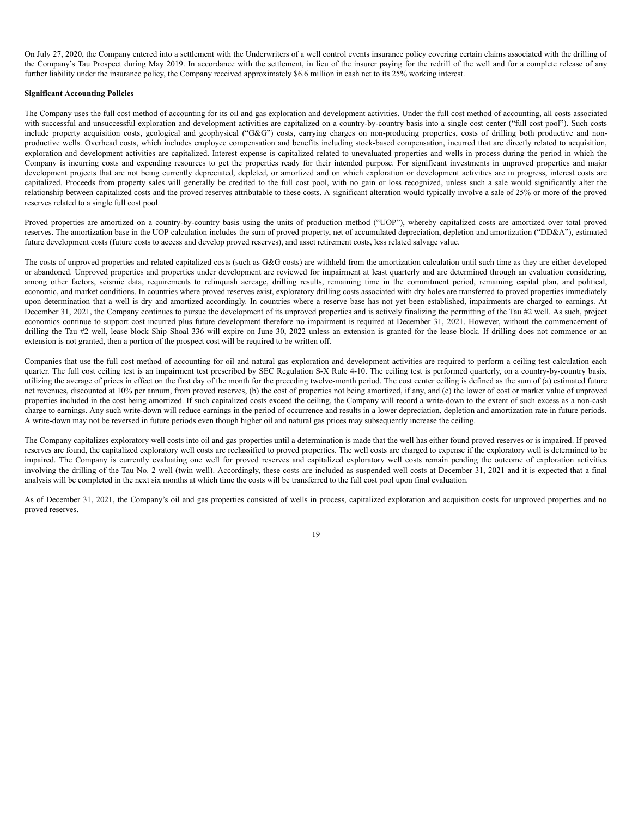On July 27, 2020, the Company entered into a settlement with the Underwriters of a well control events insurance policy covering certain claims associated with the drilling of the Company's Tau Prospect during May 2019. In accordance with the settlement, in lieu of the insurer paying for the redrill of the well and for a complete release of any further liability under the insurance policy, the Company received approximately \$6.6 million in cash net to its 25% working interest.

#### **Significant Accounting Policies**

The Company uses the full cost method of accounting for its oil and gas exploration and development activities. Under the full cost method of accounting, all costs associated with successful and unsuccessful exploration and development activities are capitalized on a country-by-country basis into a single cost center ("full cost pool"). Such costs include property acquisition costs, geological and geophysical ("G&G") costs, carrying charges on non-producing properties, costs of drilling both productive and nonproductive wells. Overhead costs, which includes employee compensation and benefits including stock-based compensation, incurred that are directly related to acquisition, exploration and development activities are capitalized. Interest expense is capitalized related to unevaluated properties and wells in process during the period in which the Company is incurring costs and expending resources to get the properties ready for their intended purpose. For significant investments in unproved properties and major development projects that are not being currently depreciated, depleted, or amortized and on which exploration or development activities are in progress, interest costs are capitalized. Proceeds from property sales will generally be credited to the full cost pool, with no gain or loss recognized, unless such a sale would significantly alter the relationship between capitalized costs and the proved reserves attributable to these costs. A significant alteration would typically involve a sale of 25% or more of the proved reserves related to a single full cost pool.

Proved properties are amortized on a country-by-country basis using the units of production method ("UOP"), whereby capitalized costs are amortized over total proved reserves. The amortization base in the UOP calculation includes the sum of proved property, net of accumulated depreciation, depletion and amortization ("DD&A"), estimated future development costs (future costs to access and develop proved reserves), and asset retirement costs, less related salvage value.

The costs of unproved properties and related capitalized costs (such as G&G costs) are withheld from the amortization calculation until such time as they are either developed or abandoned. Unproved properties and properties under development are reviewed for impairment at least quarterly and are determined through an evaluation considering, among other factors, seismic data, requirements to relinquish acreage, drilling results, remaining time in the commitment period, remaining capital plan, and political, economic, and market conditions. In countries where proved reserves exist, exploratory drilling costs associated with dry holes are transferred to proved properties immediately upon determination that a well is dry and amortized accordingly. In countries where a reserve base has not yet been established, impairments are charged to earnings. At December 31, 2021, the Company continues to pursue the development of its unproved properties and is actively finalizing the permitting of the Tau #2 well. As such, project economics continue to support cost incurred plus future development therefore no impairment is required at December 31, 2021. However, without the commencement of drilling the Tau #2 well, lease block Ship Shoal 336 will expire on June 30, 2022 unless an extension is granted for the lease block. If drilling does not commence or an extension is not granted, then a portion of the prospect cost will be required to be written off.

Companies that use the full cost method of accounting for oil and natural gas exploration and development activities are required to perform a ceiling test calculation each quarter. The full cost ceiling test is an impairment test prescribed by SEC Regulation S-X Rule 4-10. The ceiling test is performed quarterly, on a country-by-country basis, utilizing the average of prices in effect on the first day of the month for the preceding twelve-month period. The cost center ceiling is defined as the sum of (a) estimated future net revenues, discounted at 10% per annum, from proved reserves, (b) the cost of properties not being amortized, if any, and (c) the lower of cost or market value of unproved properties included in the cost being amortized. If such capitalized costs exceed the ceiling, the Company will record a write-down to the extent of such excess as a non-cash charge to earnings. Any such write-down will reduce earnings in the period of occurrence and results in a lower depreciation, depletion and amortization rate in future periods. A write-down may not be reversed in future periods even though higher oil and natural gas prices may subsequently increase the ceiling.

The Company capitalizes exploratory well costs into oil and gas properties until a determination is made that the well has either found proved reserves or is impaired. If proved reserves are found, the capitalized exploratory well costs are reclassified to proved properties. The well costs are charged to expense if the exploratory well is determined to be impaired. The Company is currently evaluating one well for proved reserves and capitalized exploratory well costs remain pending the outcome of exploration activities involving the drilling of the Tau No. 2 well (twin well). Accordingly, these costs are included as suspended well costs at December 31, 2021 and it is expected that a final analysis will be completed in the next six months at which time the costs will be transferred to the full cost pool upon final evaluation.

As of December 31, 2021, the Company's oil and gas properties consisted of wells in process, capitalized exploration and acquisition costs for unproved properties and no proved reserves.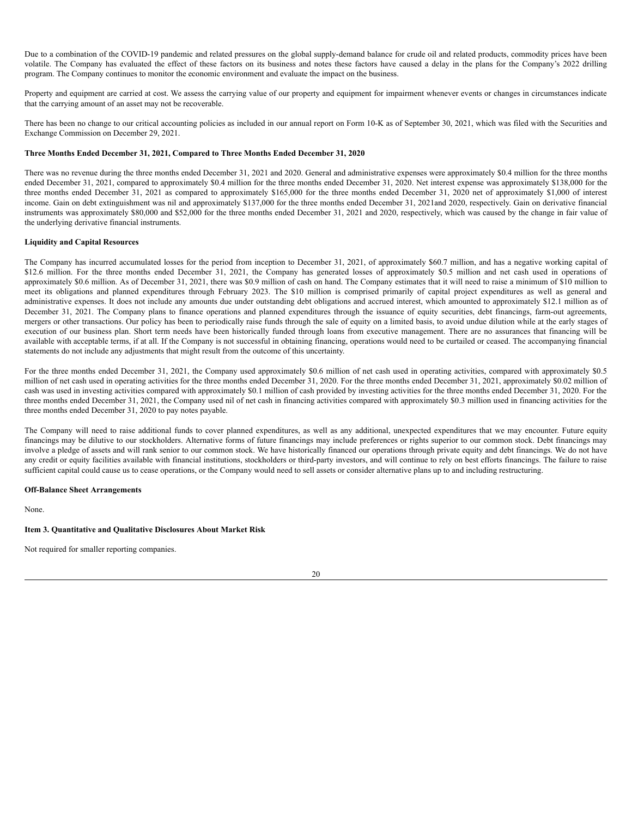Due to a combination of the COVID-19 pandemic and related pressures on the global supply-demand balance for crude oil and related products, commodity prices have been volatile. The Company has evaluated the effect of these factors on its business and notes these factors have caused a delay in the plans for the Company's 2022 drilling program. The Company continues to monitor the economic environment and evaluate the impact on the business.

Property and equipment are carried at cost. We assess the carrying value of our property and equipment for impairment whenever events or changes in circumstances indicate that the carrying amount of an asset may not be recoverable.

There has been no change to our critical accounting policies as included in our annual report on Form 10-K as of September 30, 2021, which was filed with the Securities and Exchange Commission on December 29, 2021.

# **Three Months Ended December 31, 2021, Compared to Three Months Ended December 31, 2020**

There was no revenue during the three months ended December 31, 2021 and 2020. General and administrative expenses were approximately \$0.4 million for the three months ended December 31, 2021, compared to approximately \$0.4 million for the three months ended December 31, 2020. Net interest expense was approximately \$138,000 for the three months ended December 31, 2021 as compared to approximately \$165,000 for the three months ended December 31, 2020 net of approximately \$1,000 of interest income. Gain on debt extinguishment was nil and approximately \$137,000 for the three months ended December 31, 2021and 2020, respectively. Gain on derivative financial instruments was approximately \$80,000 and \$52,000 for the three months ended December 31, 2021 and 2020, respectively, which was caused by the change in fair value of the underlying derivative financial instruments.

#### **Liquidity and Capital Resources**

The Company has incurred accumulated losses for the period from inception to December 31, 2021, of approximately \$60.7 million, and has a negative working capital of \$12.6 million. For the three months ended December 31, 2021, the Company has generated losses of approximately \$0.5 million and net cash used in operations of approximately \$0.6 million. As of December 31, 2021, there was \$0.9 million of cash on hand. The Company estimates that it will need to raise a minimum of \$10 million to meet its obligations and planned expenditures through February 2023. The \$10 million is comprised primarily of capital project expenditures as well as general and administrative expenses. It does not include any amounts due under outstanding debt obligations and accrued interest, which amounted to approximately \$12.1 million as of December 31, 2021. The Company plans to finance operations and planned expenditures through the issuance of equity securities, debt financings, farm-out agreements, mergers or other transactions. Our policy has been to periodically raise funds through the sale of equity on a limited basis, to avoid undue dilution while at the early stages of execution of our business plan. Short term needs have been historically funded through loans from executive management. There are no assurances that financing will be available with acceptable terms, if at all. If the Company is not successful in obtaining financing, operations would need to be curtailed or ceased. The accompanying financial statements do not include any adjustments that might result from the outcome of this uncertainty.

For the three months ended December 31, 2021, the Company used approximately \$0.6 million of net cash used in operating activities, compared with approximately \$0.5 million of net cash used in operating activities for the three months ended December 31, 2020. For the three months ended December 31, 2021, approximately \$0.02 million of cash was used in investing activities compared with approximately \$0.1 million of cash provided by investing activities for the three months ended December 31, 2020. For the three months ended December 31, 2021, the Company used nil of net cash in financing activities compared with approximately \$0.3 million used in financing activities for the three months ended December 31, 2020 to pay notes payable.

The Company will need to raise additional funds to cover planned expenditures, as well as any additional, unexpected expenditures that we may encounter. Future equity financings may be dilutive to our stockholders. Alternative forms of future financings may include preferences or rights superior to our common stock. Debt financings may involve a pledge of assets and will rank senior to our common stock. We have historically financed our operations through private equity and debt financings. We do not have any credit or equity facilities available with financial institutions, stockholders or third-party investors, and will continue to rely on best efforts financings. The failure to raise sufficient capital could cause us to cease operations, or the Company would need to sell assets or consider alternative plans up to and including restructuring.

#### **Off-Balance Sheet Arrangements**

None.

#### <span id="page-19-0"></span>**Item 3. Quantitative and Qualitative Disclosures About Market Risk**

Not required for smaller reporting companies.

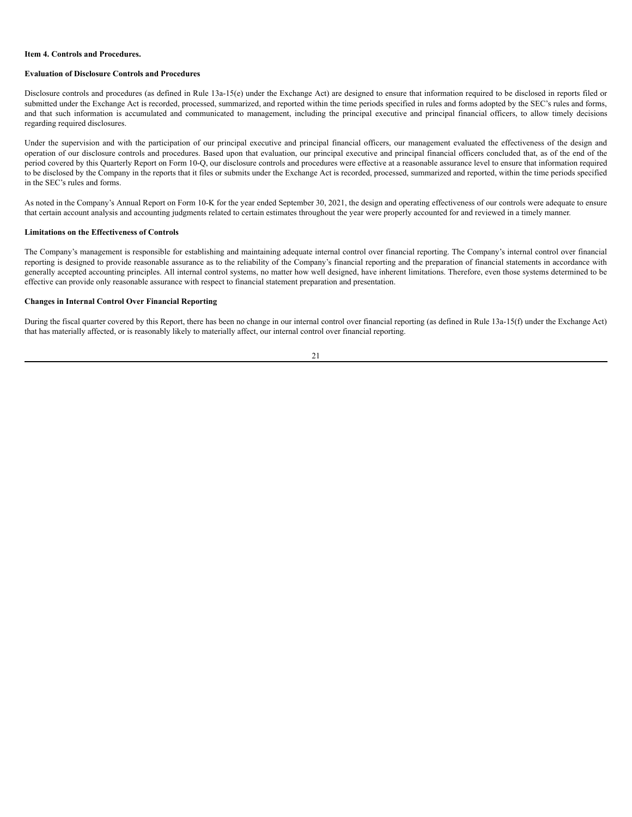#### <span id="page-20-0"></span>**Item 4. Controls and Procedures.**

# **Evaluation of Disclosure Controls and Procedures**

Disclosure controls and procedures (as defined in Rule 13a-15(e) under the Exchange Act) are designed to ensure that information required to be disclosed in reports filed or submitted under the Exchange Act is recorded, processed, summarized, and reported within the time periods specified in rules and forms adopted by the SEC's rules and forms, and that such information is accumulated and communicated to management, including the principal executive and principal financial officers, to allow timely decisions regarding required disclosures.

Under the supervision and with the participation of our principal executive and principal financial officers, our management evaluated the effectiveness of the design and operation of our disclosure controls and procedures. Based upon that evaluation, our principal executive and principal financial officers concluded that, as of the end of the period covered by this Quarterly Report on Form 10-Q, our disclosure controls and procedures were effective at a reasonable assurance level to ensure that information required to be disclosed by the Company in the reports that it files or submits under the Exchange Act is recorded, processed, summarized and reported, within the time periods specified in the SEC's rules and forms.

As noted in the Company's Annual Report on Form 10-K for the year ended September 30, 2021, the design and operating effectiveness of our controls were adequate to ensure that certain account analysis and accounting judgments related to certain estimates throughout the year were properly accounted for and reviewed in a timely manner.

# **Limitations on the Effectiveness of Controls**

The Company's management is responsible for establishing and maintaining adequate internal control over financial reporting. The Company's internal control over financial reporting is designed to provide reasonable assurance as to the reliability of the Company's financial reporting and the preparation of financial statements in accordance with generally accepted accounting principles. All internal control systems, no matter how well designed, have inherent limitations. Therefore, even those systems determined to be effective can provide only reasonable assurance with respect to financial statement preparation and presentation.

# **Changes in Internal Control Over Financial Reporting**

During the fiscal quarter covered by this Report, there has been no change in our internal control over financial reporting (as defined in Rule 13a-15(f) under the Exchange Act) that has materially affected, or is reasonably likely to materially affect, our internal control over financial reporting.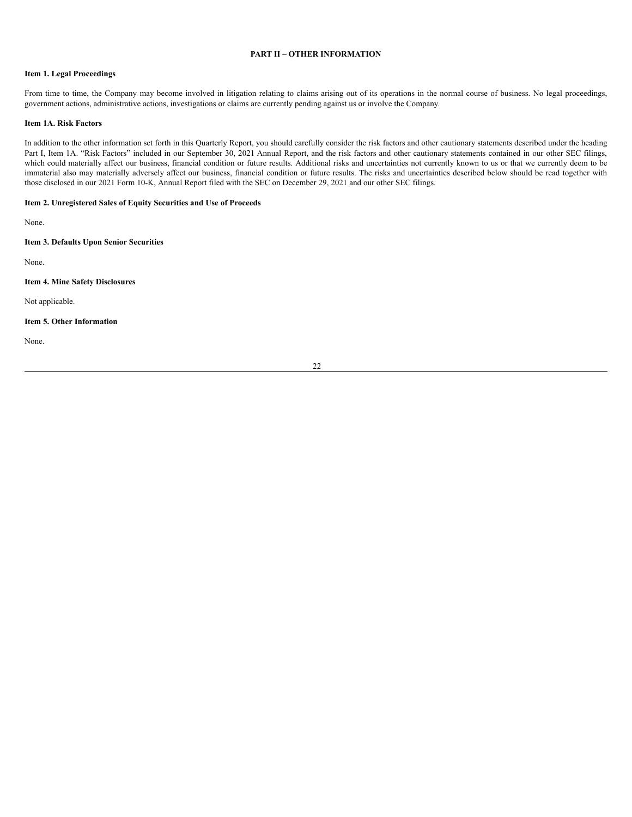# **PART II – OTHER INFORMATION**

# <span id="page-21-0"></span>**Item 1. Legal Proceedings**

From time to time, the Company may become involved in litigation relating to claims arising out of its operations in the normal course of business. No legal proceedings, government actions, administrative actions, investigations or claims are currently pending against us or involve the Company.

#### **Item 1A. Risk Factors**

In addition to the other information set forth in this Quarterly Report, you should carefully consider the risk factors and other cautionary statements described under the heading Part I, Item 1A. "Risk Factors" included in our September 30, 2021 Annual Report, and the risk factors and other cautionary statements contained in our other SEC filings, which could materially affect our business, financial condition or future results. Additional risks and uncertainties not currently known to us or that we currently deem to be immaterial also may materially adversely affect our business, financial condition or future results. The risks and uncertainties described below should be read together with those disclosed in our 2021 Form 10-K, Annual Report filed with the SEC on December 29, 2021 and our other SEC filings.

# **Item 2. Unregistered Sales of Equity Securities and Use of Proceeds**

None.

**Item 3. Defaults Upon Senior Securities**

None.

**Item 4. Mine Safety Disclosures**

Not applicable.

#### **Item 5. Other Information**

None.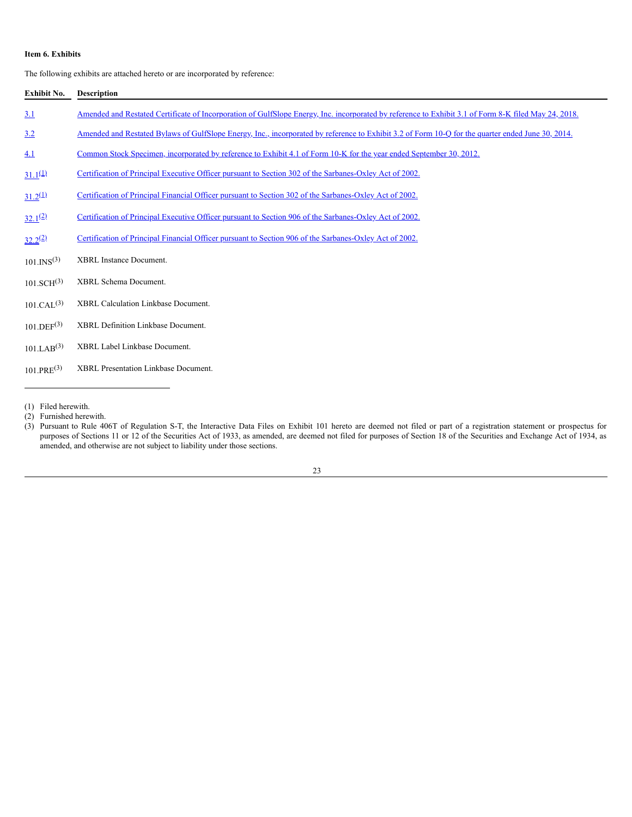# **Item 6. Exhibits**

The following exhibits are attached hereto or are incorporated by reference:

| Exhibit No.                | <b>Description</b>                                                                                                                                   |
|----------------------------|------------------------------------------------------------------------------------------------------------------------------------------------------|
| <u>3.1</u>                 | Amended and Restated Certificate of Incorporation of GulfSlope Energy, Inc. incorporated by reference to Exhibit 3.1 of Form 8-K filed May 24, 2018. |
| 3.2                        | Amended and Restated Bylaws of GulfSlope Energy, Inc., incorporated by reference to Exhibit 3.2 of Form 10-O for the quarter ended June 30, 2014.    |
| 4.1                        | Common Stock Specimen, incorporated by reference to Exhibit 4.1 of Form 10-K for the year ended September 30, 2012.                                  |
| $31.1^{(1)}$               | Certification of Principal Executive Officer pursuant to Section 302 of the Sarbanes-Oxley Act of 2002.                                              |
| $31.2^{(1)}$               | Certification of Principal Financial Officer pursuant to Section 302 of the Sarbanes-Oxley Act of 2002.                                              |
| $32.1^{(2)}$               | Certification of Principal Executive Officer pursuant to Section 906 of the Sarbanes-Oxley Act of 2002.                                              |
| $32.2^{(2)}$               | Certification of Principal Financial Officer pursuant to Section 906 of the Sarbanes-Oxley Act of 2002.                                              |
| $101$ . INS <sup>(3)</sup> | XBRL Instance Document.                                                                                                                              |
| 101.SCH <sup>(3)</sup>     | XBRL Schema Document.                                                                                                                                |
| 101.CAL <sup>(3)</sup>     | XBRL Calculation Linkbase Document.                                                                                                                  |
| 101.DEF <sup>(3)</sup>     | XBRL Definition Linkbase Document.                                                                                                                   |
| 101.LAB <sup>(3)</sup>     | XBRL Label Linkbase Document.                                                                                                                        |
| $101.PRE^{(3)}$            | XBRL Presentation Linkbase Document.                                                                                                                 |
|                            |                                                                                                                                                      |

<sup>(1)</sup> Filed herewith.

<sup>(2)</sup> Furnished herewith.

<sup>(3)</sup> Pursuant to Rule 406T of Regulation S-T, the Interactive Data Files on Exhibit 101 hereto are deemed not filed or part of a registration statement or prospectus for purposes of Sections 11 or 12 of the Securities Act of 1933, as amended, are deemed not filed for purposes of Section 18 of the Securities and Exchange Act of 1934, as amended, and otherwise are not subject to liability under those sections.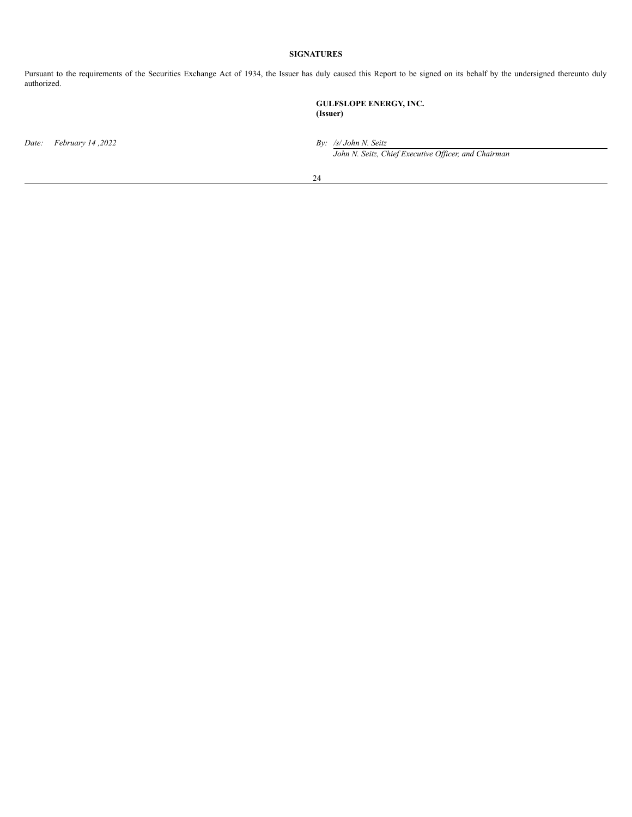# **SIGNATURES**

Pursuant to the requirements of the Securities Exchange Act of 1934, the Issuer has duly caused this Report to be signed on its behalf by the undersigned thereunto duly authorized.

> **GULFSLOPE ENERGY, INC. (Issuer)**

*Date: February 14 ,2022 By: /s/ John N. Seitz*

*John N. Seitz, Chief Executive Of icer, and Chairman*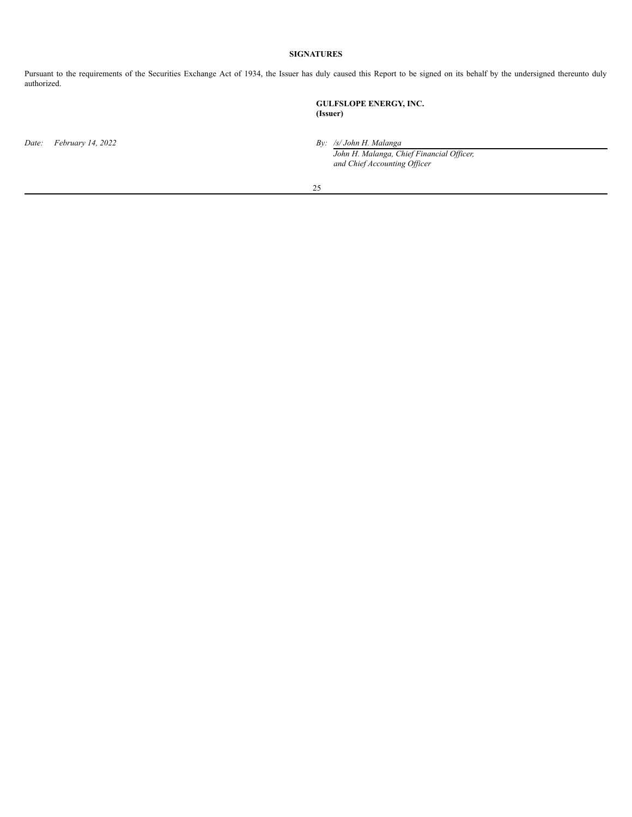# **SIGNATURES**

Pursuant to the requirements of the Securities Exchange Act of 1934, the Issuer has duly caused this Report to be signed on its behalf by the undersigned thereunto duly authorized.

> **GULFSLOPE ENERGY, INC. (Issuer)**

*Date: February 14, 2022 By: /s/ John H. Malanga*

*John H. Malanga, Chief Financial Of icer, and Chief Accounting Of icer*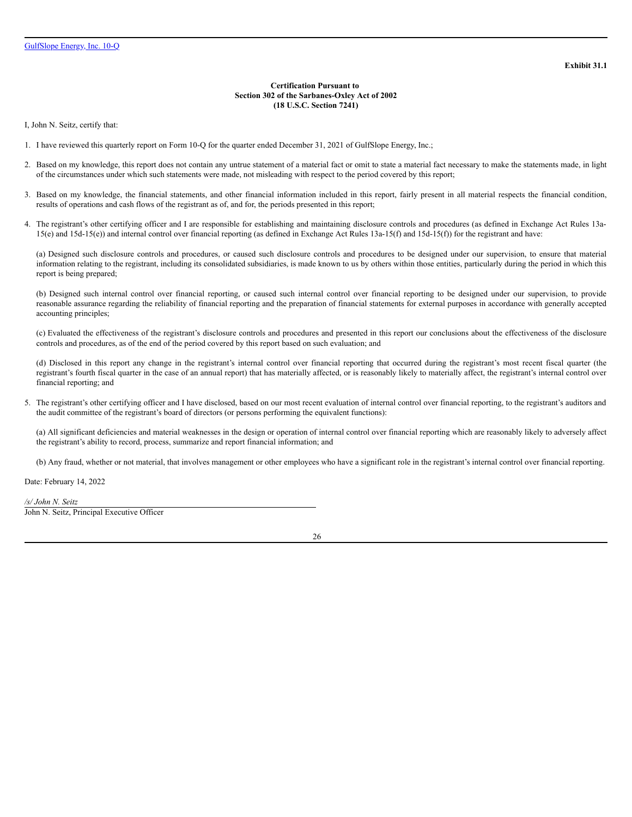# **Certification Pursuant to Section 302 of the Sarbanes-Oxley Act of 2002 (18 U.S.C. Section 7241)**

I, John N. Seitz, certify that:

- 1. I have reviewed this quarterly report on Form 10-Q for the quarter ended December 31, 2021 of GulfSlope Energy, Inc.;
- 2. Based on my knowledge, this report does not contain any untrue statement of a material fact or omit to state a material fact necessary to make the statements made, in light of the circumstances under which such statements were made, not misleading with respect to the period covered by this report;
- 3. Based on my knowledge, the financial statements, and other financial information included in this report, fairly present in all material respects the financial condition, results of operations and cash flows of the registrant as of, and for, the periods presented in this report;
- 4. The registrant's other certifying officer and I are responsible for establishing and maintaining disclosure controls and procedures (as defined in Exchange Act Rules 13a-15(e) and 15d-15(e)) and internal control over financial reporting (as defined in Exchange Act Rules 13a-15(f) and 15d-15(f)) for the registrant and have:

(a) Designed such disclosure controls and procedures, or caused such disclosure controls and procedures to be designed under our supervision, to ensure that material information relating to the registrant, including its consolidated subsidiaries, is made known to us by others within those entities, particularly during the period in which this report is being prepared;

(b) Designed such internal control over financial reporting, or caused such internal control over financial reporting to be designed under our supervision, to provide reasonable assurance regarding the reliability of financial reporting and the preparation of financial statements for external purposes in accordance with generally accepted accounting principles;

(c) Evaluated the effectiveness of the registrant's disclosure controls and procedures and presented in this report our conclusions about the effectiveness of the disclosure controls and procedures, as of the end of the period covered by this report based on such evaluation; and

(d) Disclosed in this report any change in the registrant's internal control over financial reporting that occurred during the registrant's most recent fiscal quarter (the registrant's fourth fiscal quarter in the case of an annual report) that has materially affected, or is reasonably likely to materially affect, the registrant's internal control over financial reporting; and

5. The registrant's other certifying officer and I have disclosed, based on our most recent evaluation of internal control over financial reporting, to the registrant's auditors and the audit committee of the registrant's board of directors (or persons performing the equivalent functions):

(a) All significant deficiencies and material weaknesses in the design or operation of internal control over financial reporting which are reasonably likely to adversely affect the registrant's ability to record, process, summarize and report financial information; and

(b) Any fraud, whether or not material, that involves management or other employees who have a significant role in the registrant's internal control over financial reporting.

Date: February 14, 2022

*/s/ John N. Seitz*

John N. Seitz, Principal Executive Officer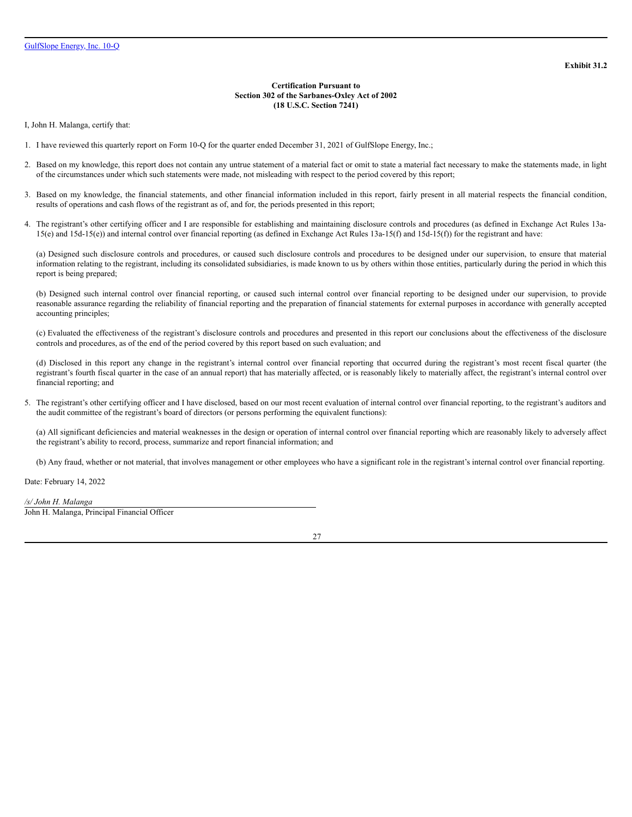#### **Certification Pursuant to Section 302 of the Sarbanes-Oxley Act of 2002 (18 U.S.C. Section 7241)**

I, John H. Malanga, certify that:

- 1. I have reviewed this quarterly report on Form 10-Q for the quarter ended December 31, 2021 of GulfSlope Energy, Inc.;
- 2. Based on my knowledge, this report does not contain any untrue statement of a material fact or omit to state a material fact necessary to make the statements made, in light of the circumstances under which such statements were made, not misleading with respect to the period covered by this report;
- 3. Based on my knowledge, the financial statements, and other financial information included in this report, fairly present in all material respects the financial condition, results of operations and cash flows of the registrant as of, and for, the periods presented in this report;
- 4. The registrant's other certifying officer and I are responsible for establishing and maintaining disclosure controls and procedures (as defined in Exchange Act Rules 13a-15(e) and 15d-15(e)) and internal control over financial reporting (as defined in Exchange Act Rules 13a-15(f) and 15d-15(f)) for the registrant and have:

(a) Designed such disclosure controls and procedures, or caused such disclosure controls and procedures to be designed under our supervision, to ensure that material information relating to the registrant, including its consolidated subsidiaries, is made known to us by others within those entities, particularly during the period in which this report is being prepared;

(b) Designed such internal control over financial reporting, or caused such internal control over financial reporting to be designed under our supervision, to provide reasonable assurance regarding the reliability of financial reporting and the preparation of financial statements for external purposes in accordance with generally accepted accounting principles;

(c) Evaluated the effectiveness of the registrant's disclosure controls and procedures and presented in this report our conclusions about the effectiveness of the disclosure controls and procedures, as of the end of the period covered by this report based on such evaluation; and

(d) Disclosed in this report any change in the registrant's internal control over financial reporting that occurred during the registrant's most recent fiscal quarter (the registrant's fourth fiscal quarter in the case of an annual report) that has materially affected, or is reasonably likely to materially affect, the registrant's internal control over financial reporting; and

5. The registrant's other certifying officer and I have disclosed, based on our most recent evaluation of internal control over financial reporting, to the registrant's auditors and the audit committee of the registrant's board of directors (or persons performing the equivalent functions):

(a) All significant deficiencies and material weaknesses in the design or operation of internal control over financial reporting which are reasonably likely to adversely affect the registrant's ability to record, process, summarize and report financial information; and

(b) Any fraud, whether or not material, that involves management or other employees who have a significant role in the registrant's internal control over financial reporting.

Date: February 14, 2022

*/s/ John H. Malanga*

John H. Malanga, Principal Financial Officer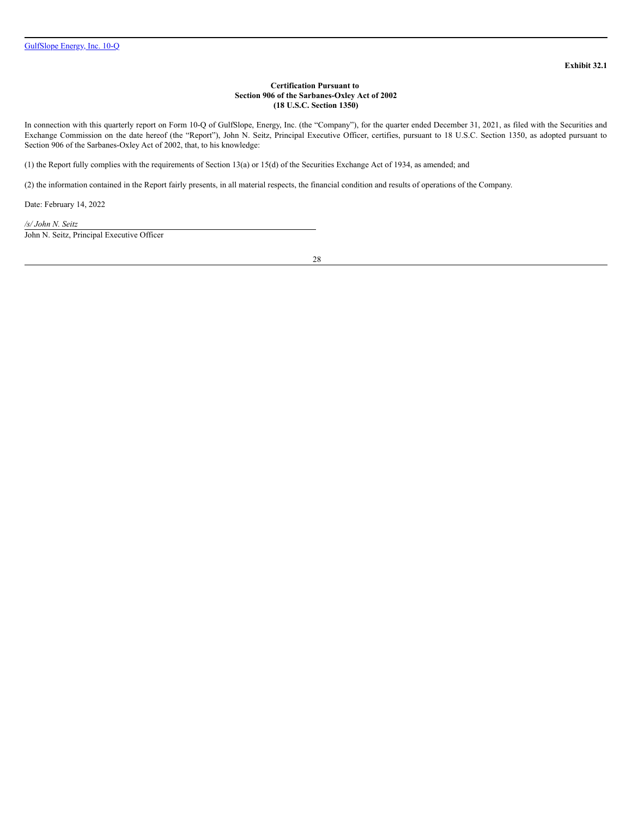# **Certification Pursuant to Section 906 of the Sarbanes-Oxley Act of 2002 (18 U.S.C. Section 1350)**

In connection with this quarterly report on Form 10-Q of GulfSlope, Energy, Inc. (the "Company"), for the quarter ended December 31, 2021, as filed with the Securities and Exchange Commission on the date hereof (the "Report"), John N. Seitz, Principal Executive Officer, certifies, pursuant to 18 U.S.C. Section 1350, as adopted pursuant to Section 906 of the Sarbanes-Oxley Act of 2002, that, to his knowledge:

(1) the Report fully complies with the requirements of Section 13(a) or 15(d) of the Securities Exchange Act of 1934, as amended; and

(2) the information contained in the Report fairly presents, in all material respects, the financial condition and results of operations of the Company.

Date: February 14, 2022

*/s/ John N. Seitz*

John N. Seitz, Principal Executive Officer